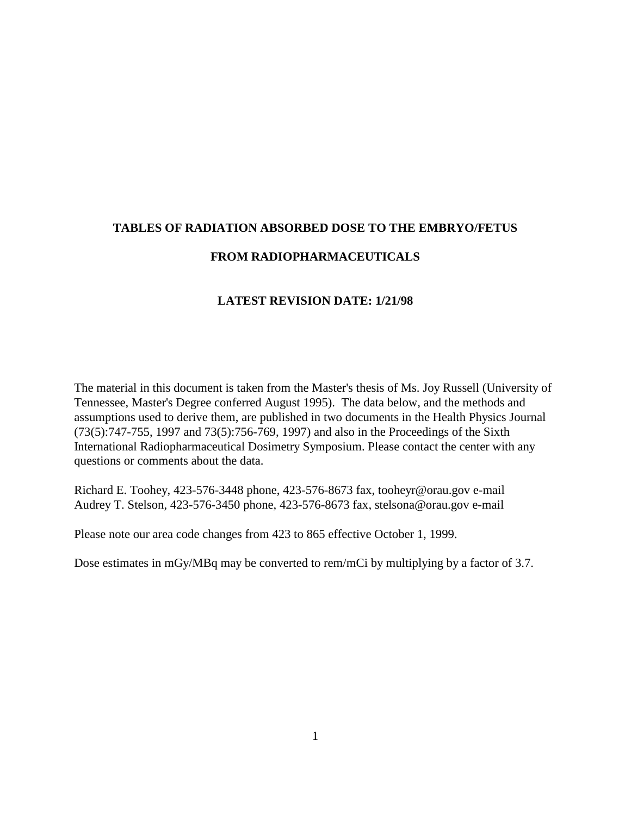# **TABLES OF RADIATION ABSORBED DOSE TO THE EMBRYO/FETUS FROM RADIOPHARMACEUTICALS**

#### **LATEST REVISION DATE: 1/21/98**

The material in this document is taken from the Master's thesis of Ms. Joy Russell (University of Tennessee, Master's Degree conferred August 1995). The data below, and the methods and assumptions used to derive them, are published in two documents in the Health Physics Journal (73(5):747-755, 1997 and 73(5):756-769, 1997) and also in the Proceedings of the Sixth International Radiopharmaceutical Dosimetry Symposium. Please contact the center with any questions or comments about the data.

Richard E. Toohey, 423-576-3448 phone, 423-576-8673 fax, tooheyr@orau.gov e-mail Audrey T. Stelson, 423-576-3450 phone, 423-576-8673 fax, stelsona@orau.gov e-mail

Please note our area code changes from 423 to 865 effective October 1, 1999.

Dose estimates in mGy/MBq may be converted to rem/mCi by multiplying by a factor of 3.7.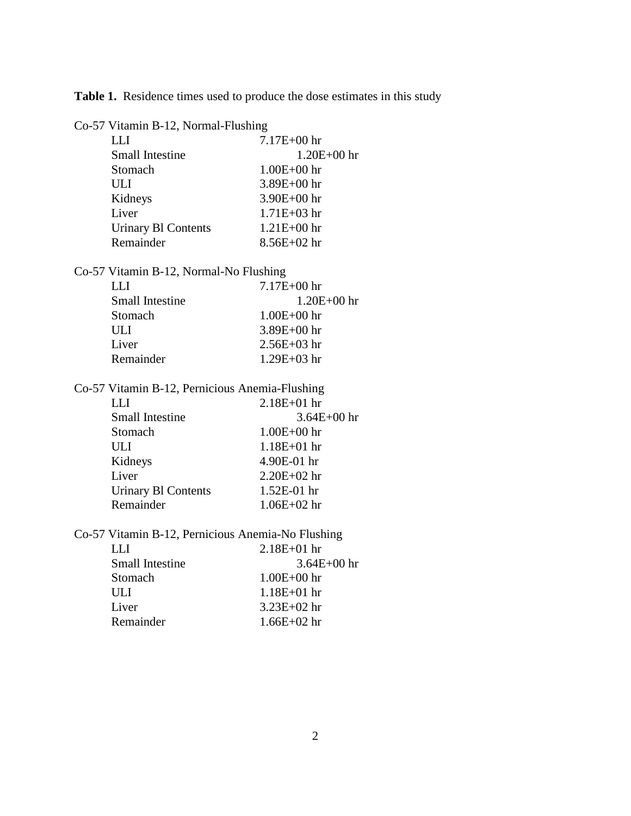**Table 1.** Residence times used to produce the dose estimates in this study

Co-57 Vitamin B-12, Normal-Flushing

| $7.17E + 00$ hr |
|-----------------|
| $1.20E + 00$ hr |
| $1.00E + 00$ hr |
| $3.89E + 00$ hr |
| $3.90E + 00$ hr |
| $1.71E + 03$ hr |
| $1.21E + 00$ hr |
| $8.56E + 02$ hr |
|                 |

Co-57 Vitamin B-12, Normal-No Flushing

| IJ                     | $7.17E + 00$ hr |
|------------------------|-----------------|
| <b>Small Intestine</b> | $1.20E + 00$ hr |
| Stomach                | $1.00E + 00$ hr |
| ULI                    | $3.89E + 00$ hr |
| Liver                  | $2.56E+03$ hr   |
| Remainder              | $1.29E + 03$ hr |

Co-57 Vitamin B-12, Pernicious Anemia-Flushing LLI 2.18E+01 hr Small Intestine 3.64E+00 hr

| Stomach                    | $1.00E + 00$ hr |
|----------------------------|-----------------|
| ULI                        | $1.18E + 01$ hr |
| Kidneys                    | 4.90E-01 hr     |
| Liver                      | $2.20E + 02$ hr |
| <b>Urinary BI Contents</b> | $1.52E-01$ hr   |
| Remainder                  | $1.06E + 02$ hr |

Co-57 Vitamin B-12, Pernicious Anemia-No Flushing

| $2.18E + 01$ hr |
|-----------------|
| $3.64E + 00$ hr |
| $1.00E + 00$ hr |
| $1.18E + 01$ hr |
| $3.23E+02$ hr   |
| $1.66E + 02$ hr |
|                 |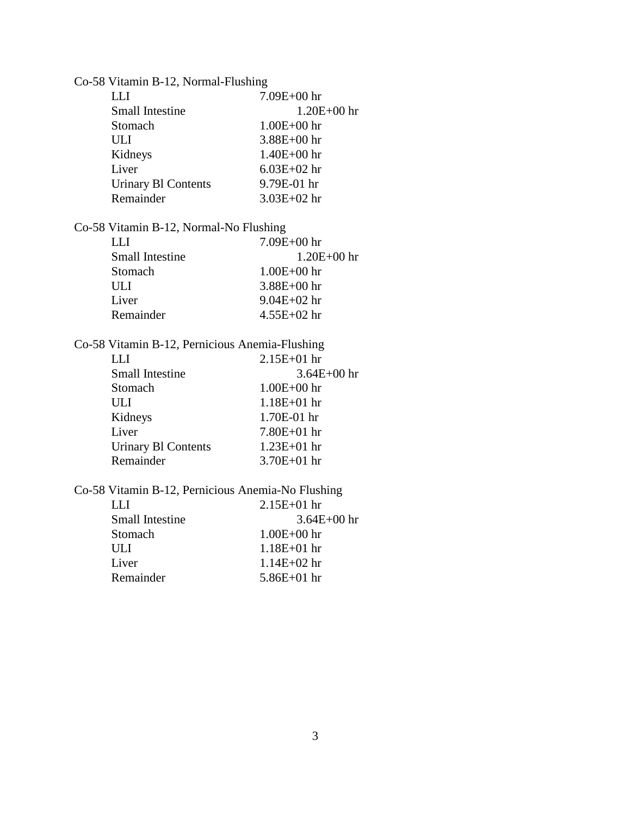| Co-58 Vitamin B-12, Normal-Flushing |                                                   |                 |
|-------------------------------------|---------------------------------------------------|-----------------|
|                                     | <b>LLI</b>                                        | 7.09E+00 hr     |
|                                     | <b>Small Intestine</b>                            | $1.20E + 00$ hr |
|                                     | Stomach                                           | $1.00E + 00$ hr |
|                                     | <b>ULI</b>                                        | $3.88E + 00$ hr |
|                                     | Kidneys                                           | $1.40E + 00$ hr |
|                                     | Liver                                             | $6.03E + 02$ hr |
|                                     | <b>Urinary B1 Contents</b>                        | 9.79E-01 hr     |
|                                     | Remainder                                         | 3.03E+02 hr     |
|                                     | Co-58 Vitamin B-12, Normal-No Flushing            |                 |
|                                     | <b>LLI</b>                                        | $7.09E + 00$ hr |
|                                     | <b>Small Intestine</b>                            | 1.20E+00 hr     |
|                                     | Stomach                                           | $1.00E + 00$ hr |
|                                     | ULI                                               | $3.88E + 00$ hr |
|                                     | Liver                                             | $9.04E + 02$ hr |
|                                     | Remainder                                         | 4.55E+02 hr     |
|                                     |                                                   |                 |
|                                     | Co-58 Vitamin B-12, Pernicious Anemia-Flushing    |                 |
|                                     | <b>LLI</b>                                        | $2.15E + 01$ hr |
|                                     | <b>Small Intestine</b>                            | 3.64E+00 hr     |
|                                     | Stomach                                           | $1.00E + 00$ hr |
|                                     | <b>ULI</b>                                        | $1.18E + 01$ hr |
|                                     | Kidneys                                           | 1.70E-01 hr     |
|                                     | Liver                                             | $7.80E + 01$ hr |
|                                     | <b>Urinary B1 Contents</b>                        | $1.23E + 01$ hr |
|                                     | Remainder                                         | 3.70E+01 hr     |
|                                     | Co-58 Vitamin B-12, Pernicious Anemia-No Flushing |                 |
|                                     | <b>LLI</b>                                        | $2.15E + 01$ hr |
|                                     | <b>Small Intestine</b>                            | $3.64E + 00$ hr |
|                                     | Stomach                                           | $1.00E + 00$ hr |
|                                     | ULI                                               | $1.18E + 01$ hr |
|                                     | Liver                                             | $1.14E + 02$ hr |
|                                     | Remainder                                         | $5.86E + 01$ hr |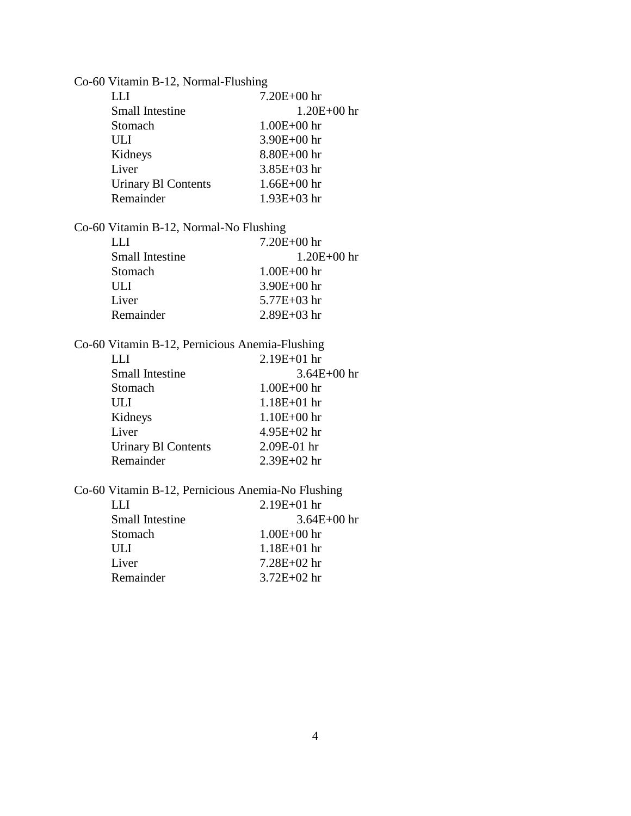| Co-60 Vitamin B-12, Normal-Flushing            |                                                   |  |
|------------------------------------------------|---------------------------------------------------|--|
| <b>LLI</b>                                     | 7.20E+00 hr                                       |  |
| <b>Small Intestine</b>                         | $1.20E + 00$ hr                                   |  |
| Stomach                                        | $1.00E + 00$ hr                                   |  |
| <b>ULI</b>                                     | $3.90E + 00$ hr                                   |  |
| Kidneys                                        | $8.80E + 00$ hr                                   |  |
| Liver                                          | $3.85E + 03hr$                                    |  |
| <b>Urinary Bl Contents</b>                     | $1.66E + 00$ hr                                   |  |
| Remainder                                      | $1.93E + 03$ hr                                   |  |
| Co-60 Vitamin B-12, Normal-No Flushing         |                                                   |  |
| LLI                                            | 7.20E+00 hr                                       |  |
| <b>Small Intestine</b>                         | $1.20E + 00$ hr                                   |  |
| Stomach                                        | $1.00E + 00$ hr                                   |  |
| ULI                                            | 3.90E+00 hr                                       |  |
| Liver                                          | $5.77E + 03$ hr                                   |  |
| Remainder                                      | 2.89E+03 hr                                       |  |
| Co-60 Vitamin B-12, Pernicious Anemia-Flushing |                                                   |  |
| <b>LLI</b>                                     | $2.19E + 01$ hr                                   |  |
| <b>Small Intestine</b>                         | $3.64E + 00$ hr                                   |  |
| Stomach                                        | $1.00E + 00$ hr                                   |  |
| <b>ULI</b>                                     | $1.18E + 01$ hr                                   |  |
| Kidneys                                        | $1.10E + 00$ hr                                   |  |
| Liver                                          | 4.95E+02 hr                                       |  |
| <b>Urinary B1 Contents</b>                     | 2.09E-01 hr                                       |  |
| Remainder                                      | 2.39E+02 hr                                       |  |
|                                                | Co-60 Vitamin B-12, Pernicious Anemia-No Flushing |  |
| <b>LLI</b>                                     | 2.19E+01 hr                                       |  |
| <b>Small Intestine</b>                         | $3.64E + 00$ hr                                   |  |
| Stomach                                        | $1.00E + 00$ hr                                   |  |
| ULI                                            | $1.18E + 01$ hr                                   |  |
| Liver                                          | 7.28E+02 hr                                       |  |
| Remainder                                      | $3.72E + 02$ hr                                   |  |
|                                                |                                                   |  |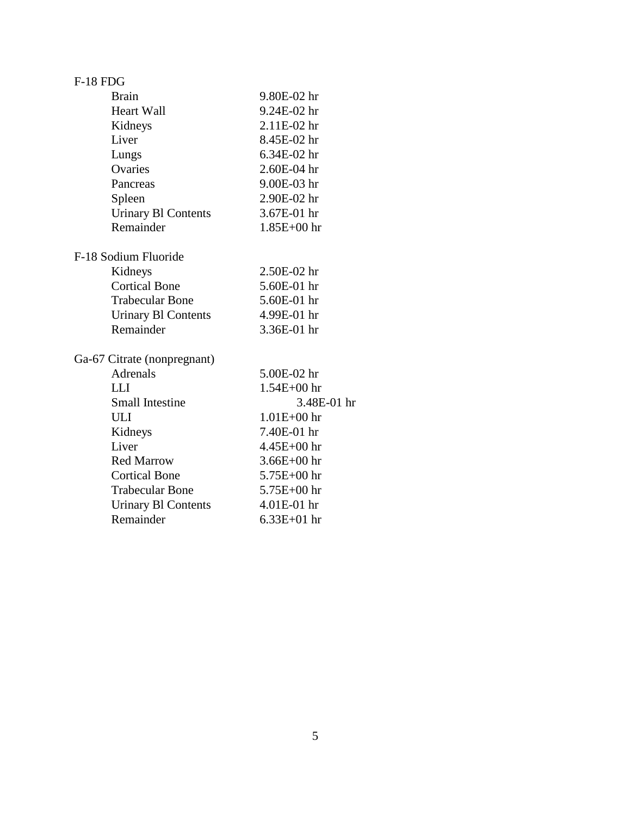| <b>F-18 FDG</b>             |                 |
|-----------------------------|-----------------|
| <b>Brain</b>                | 9.80E-02 hr     |
| <b>Heart Wall</b>           | 9.24E-02 hr     |
| Kidneys                     | 2.11E-02 hr     |
| Liver                       | 8.45E-02 hr     |
| Lungs                       | 6.34E-02 hr     |
| Ovaries                     | 2.60E-04 hr     |
| Pancreas                    | 9.00E-03 hr     |
| Spleen                      | 2.90E-02 hr     |
| <b>Urinary Bl Contents</b>  | 3.67E-01 hr     |
| Remainder                   | 1.85E+00 hr     |
| F-18 Sodium Fluoride        |                 |
| Kidneys                     | 2.50E-02 hr     |
| <b>Cortical Bone</b>        | 5.60E-01 hr     |
| <b>Trabecular Bone</b>      | 5.60E-01 hr     |
| <b>Urinary BI Contents</b>  | 4.99E-01 hr     |
| Remainder                   | 3.36E-01 hr     |
| Ga-67 Citrate (nonpregnant) |                 |
| <b>Adrenals</b>             | 5.00E-02 hr     |
| <b>LLI</b>                  | $1.54E + 00$ hr |
| <b>Small Intestine</b>      | 3.48E-01 hr     |
| <b>ULI</b>                  | $1.01E + 00$ hr |
| Kidneys                     | 7.40E-01 hr     |
| Liver                       | 4.45E+00 hr     |
| <b>Red Marrow</b>           | $3.66E + 00$ hr |
| <b>Cortical Bone</b>        | $5.75E + 00$ hr |
| <b>Trabecular Bone</b>      | $5.75E + 00$ hr |
| <b>Urinary B1 Contents</b>  | 4.01E-01 hr     |
| Remainder                   | $6.33E + 01$ hr |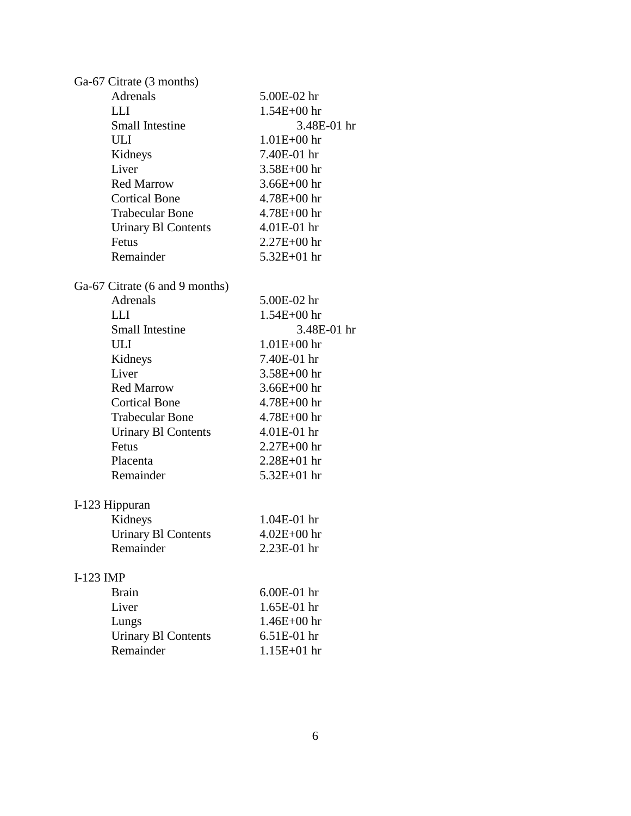| Ga-67 Citrate (3 months)       |                 |
|--------------------------------|-----------------|
| Adrenals                       | 5.00E-02 hr     |
| <b>LLI</b>                     | $1.54E + 00$ hr |
| <b>Small Intestine</b>         | 3.48E-01 hr     |
| <b>ULI</b>                     | $1.01E + 00$ hr |
| Kidneys                        | 7.40E-01 hr     |
| Liver                          | $3.58E + 00$ hr |
| <b>Red Marrow</b>              | $3.66E + 00$ hr |
| <b>Cortical Bone</b>           | $4.78E + 00$ hr |
| <b>Trabecular Bone</b>         | $4.78E + 00$ hr |
| <b>Urinary Bl Contents</b>     | 4.01E-01 hr     |
| Fetus                          | $2.27E + 00$ hr |
| Remainder                      | $5.32E + 01$ hr |
| Ga-67 Citrate (6 and 9 months) |                 |
| <b>Adrenals</b>                | 5.00E-02 hr     |
| <b>LLI</b>                     | 1.54E+00 hr     |
| <b>Small Intestine</b>         | 3.48E-01 hr     |
| ULI                            | $1.01E + 00$ hr |
| Kidneys                        | 7.40E-01 hr     |
| Liver                          | $3.58E + 00$ hr |
| <b>Red Marrow</b>              | $3.66E + 00$ hr |
| <b>Cortical Bone</b>           | $4.78E + 00$ hr |
| <b>Trabecular Bone</b>         | $4.78E + 00$ hr |
| <b>Urinary BI Contents</b>     | $4.01E-01$ hr   |
| Fetus                          | $2.27E + 00$ hr |
| Placenta                       | $2.28E + 01$ hr |
| Remainder                      | $5.32E + 01$ hr |
| I-123 Hippuran                 |                 |
| Kidneys                        | 1.04E-01 hr     |
| <b>Urinary Bl Contents</b>     | $4.02E + 00$ hr |
| Remainder                      | 2.23E-01 hr     |
| $I-123$ IMP                    |                 |
| <b>Brain</b>                   | 6.00E-01 hr     |
| Liver                          | 1.65E-01 hr     |
| Lungs                          | $1.46E + 00$ hr |
| <b>Urinary Bl Contents</b>     | 6.51E-01 hr     |
| Remainder                      | $1.15E + 01$ hr |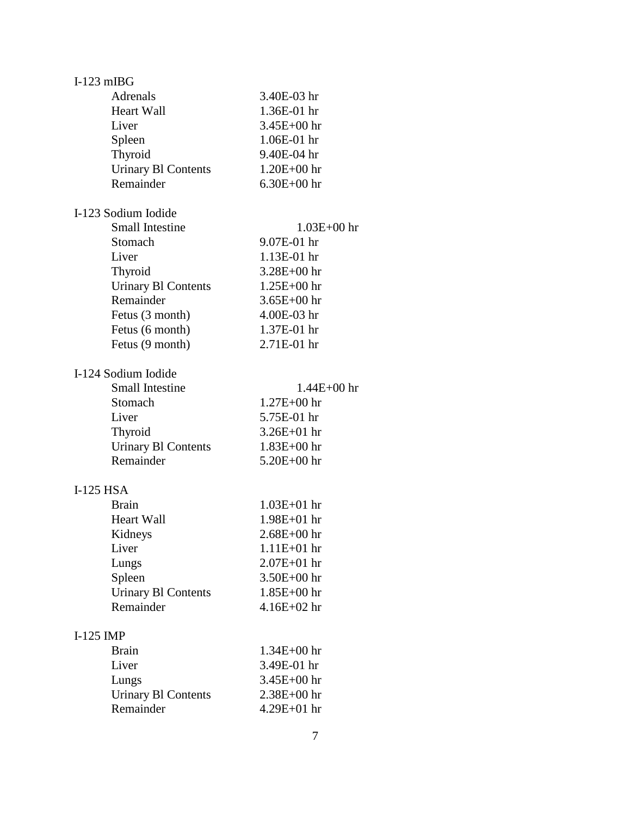| $I-123$ mIBG                            |                 |  |
|-----------------------------------------|-----------------|--|
| Adrenals                                | 3.40E-03 hr     |  |
| <b>Heart Wall</b>                       | 1.36E-01 hr     |  |
| Liver                                   | $3.45E + 00$ hr |  |
| Spleen                                  | 1.06E-01 hr     |  |
| Thyroid                                 | 9.40E-04 hr     |  |
| <b>Urinary Bl Contents</b>              | $1.20E + 00$ hr |  |
| Remainder                               | $6.30E + 00$ hr |  |
|                                         |                 |  |
| I-123 Sodium Iodide                     |                 |  |
| <b>Small Intestine</b>                  | $1.03E + 00$ hr |  |
| Stomach                                 | 9.07E-01 hr     |  |
| Liver                                   | $1.13E-01$ hr   |  |
| Thyroid                                 | $3.28E + 00$ hr |  |
| <b>Urinary Bl Contents</b>              | $1.25E + 00$ hr |  |
| Remainder                               | $3.65E + 00$ hr |  |
| Fetus (3 month)                         | 4.00E-03 hr     |  |
| Fetus (6 month)                         | 1.37E-01 hr     |  |
| Fetus (9 month)                         | 2.71E-01 hr     |  |
|                                         |                 |  |
| I-124 Sodium Iodide                     |                 |  |
| <b>Small Intestine</b>                  | $1.44E + 00$ hr |  |
| Stomach                                 | 1.27E+00 hr     |  |
| Liver                                   | 5.75E-01 hr     |  |
|                                         | $3.26E + 01$ hr |  |
| Thyroid                                 |                 |  |
| <b>Urinary Bl Contents</b><br>Remainder | $1.83E + 00$ hr |  |
|                                         | 5.20E+00 hr     |  |
| $I-125$ HSA                             |                 |  |
| <b>Brain</b>                            | $1.03E + 01$ hr |  |
| <b>Heart Wall</b>                       | $1.98E + 01$ hr |  |
| Kidneys                                 | $2.68E + 00$ hr |  |
| Liver                                   | $1.11E + 01$ hr |  |
| Lungs                                   | 2.07E+01 hr     |  |
| Spleen                                  | 3.50E+00 hr     |  |
|                                         | $1.85E + 00$ hr |  |
| <b>Urinary B1 Contents</b><br>Remainder | $4.16E + 02$ hr |  |
|                                         |                 |  |
| $I-125$ IMP                             |                 |  |
| <b>Brain</b>                            | $1.34E + 00$ hr |  |
| Liver                                   | 3.49E-01 hr     |  |
| Lungs                                   | 3.45E+00 hr     |  |
|                                         | 2.38E+00 hr     |  |
| <b>Urinary B1 Contents</b><br>Remainder |                 |  |
|                                         | 4.29E+01 hr     |  |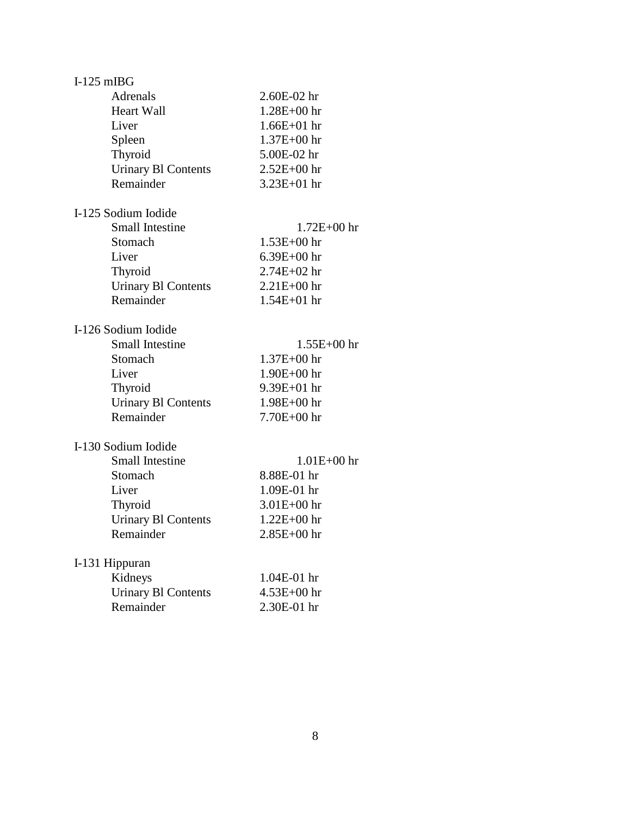| $I-125$ mIBG                            |                 |
|-----------------------------------------|-----------------|
| Adrenals                                | $2.60E-02$ hr   |
| <b>Heart Wall</b>                       | $1.28E + 00$ hr |
| Liver                                   | $1.66E + 01$ hr |
| Spleen                                  | 1.37E+00 hr     |
| Thyroid                                 | 5.00E-02 hr     |
| <b>Urinary Bl Contents</b>              | $2.52E + 00$ hr |
| Remainder                               | $3.23E + 01$ hr |
|                                         |                 |
| I-125 Sodium Iodide                     |                 |
| <b>Small Intestine</b>                  | 1.72E+00 hr     |
| Stomach                                 | $1.53E + 00$ hr |
| Liver                                   | $6.39E + 00$ hr |
|                                         | $2.74E + 02$ hr |
| Thyroid                                 |                 |
| <b>Urinary B1 Contents</b>              | $2.21E + 00$ hr |
| Remainder                               | $1.54E + 01$ hr |
|                                         |                 |
| I-126 Sodium Iodide                     |                 |
| <b>Small Intestine</b>                  | $1.55E + 00$ hr |
| Stomach                                 | $1.37E + 00$ hr |
| Liver                                   | $1.90E + 00$ hr |
| Thyroid                                 | $9.39E + 01$ hr |
| <b>Urinary BI Contents</b>              | 1.98E+00 hr     |
| Remainder                               | $7.70E + 00$ hr |
|                                         |                 |
| I-130 Sodium Iodide                     |                 |
| <b>Small Intestine</b>                  | $1.01E + 00$ hr |
| Stomach                                 | 8.88E-01 hr     |
| Liver                                   | 1.09E-01 hr     |
| Thyroid                                 | $3.01E + 00$ hr |
| <b>Urinary BI Contents</b>              | $1.22E + 00$ hr |
| Remainder                               | $2.85E + 00$ hr |
|                                         |                 |
| I-131 Hippuran                          |                 |
| Kidneys                                 | 1.04E-01 hr     |
|                                         | $4.53E + 00$ hr |
| <b>Urinary B1 Contents</b><br>Remainder | 2.30E-01 hr     |
|                                         |                 |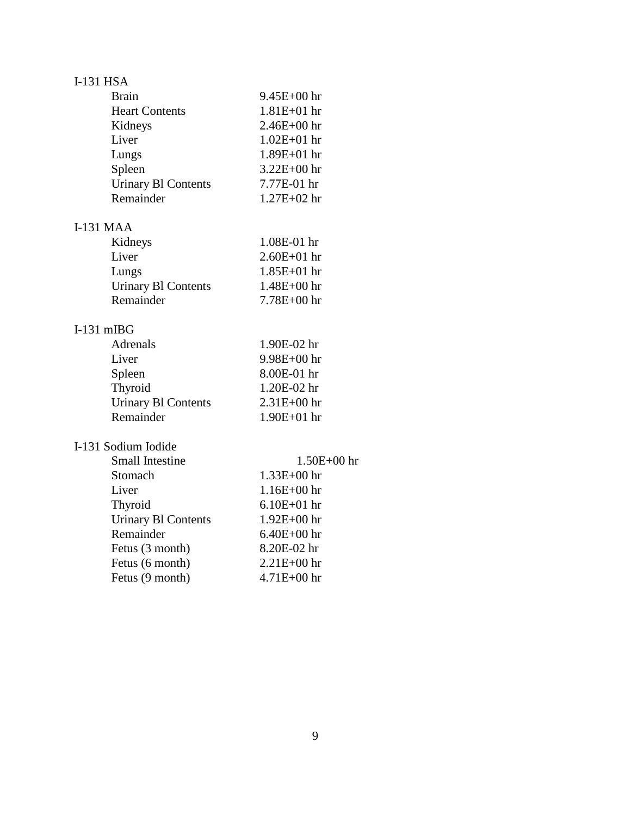## I-131 HSA

| <b>Brain</b>               | $9.45E + 00$ hr |
|----------------------------|-----------------|
| <b>Heart Contents</b>      | $1.81E + 01$ hr |
| Kidneys                    | $2.46E + 00$ hr |
| Liver                      | $1.02E + 01$ hr |
| Lungs                      | $1.89E + 01$ hr |
| Spleen                     | $3.22E + 00$ hr |
| <b>Urinary BI Contents</b> | 7.77E-01 hr     |
| Remainder                  | $1.27E + 02$ hr |
| <b>I-131 MAA</b>           |                 |
| Kidneys                    | 1.08E-01 hr     |
| Liver                      | $2.60E + 01$ hr |

| Liver                      | $2.60E + 01$ hr |
|----------------------------|-----------------|
| Lungs                      | $1.85E + 01$ hr |
| <b>Urinary BI Contents</b> | $1.48E + 00$ hr |
| Remainder                  | $7.78E + 00$ hr |

#### I-131 mIBG

| Adrenals                   | 1.90E-02 hr     |
|----------------------------|-----------------|
| Liver                      | $9.98E + 00$ hr |
| Spleen                     | 8.00E-01 hr     |
| Thyroid                    | 1.20E-02 hr     |
| <b>Urinary B1 Contents</b> | $2.31E + 00$ hr |
| Remainder                  | $1.90E + 01$ hr |

### I-131 Sodium Iodide

| $1.50E + 00$ hr |
|-----------------|
| $1.33E + 00$ hr |
| $1.16E + 00$ hr |
| $6.10E + 01$ hr |
| $1.92E + 00$ hr |
| $6.40E + 00$ hr |
| 8.20E-02 hr     |
| $2.21E + 00$ hr |
| $4.71E + 00$ hr |
|                 |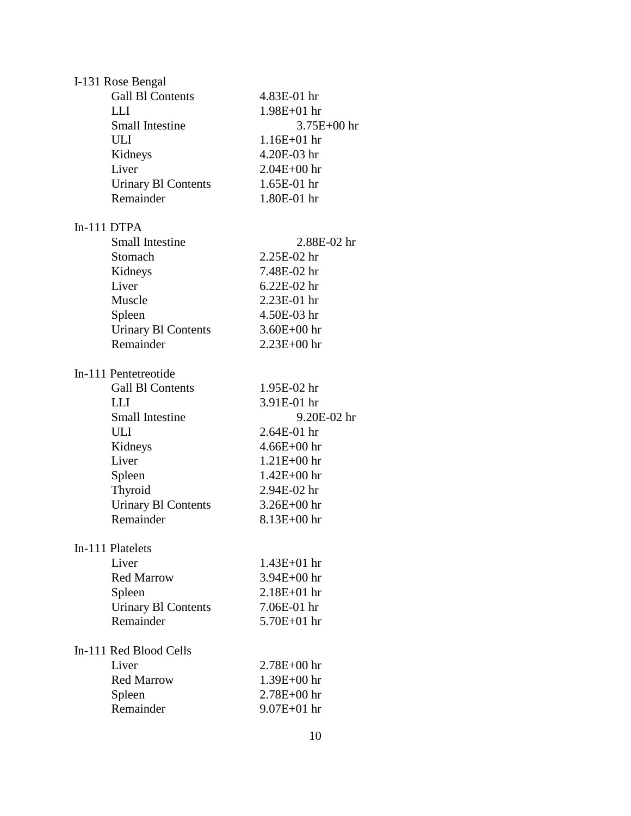| I-131 Rose Bengal          |                 |
|----------------------------|-----------------|
| <b>Gall Bl Contents</b>    | 4.83E-01 hr     |
| <b>LLI</b>                 | $1.98E + 01$ hr |
| <b>Small Intestine</b>     | $3.75E + 00$ hr |
| <b>ULI</b>                 | $1.16E + 01$ hr |
| Kidneys                    | 4.20E-03 hr     |
| Liver                      | $2.04E + 00$ hr |
| <b>Urinary Bl Contents</b> | 1.65E-01 hr     |
| Remainder                  | 1.80E-01 hr     |
| In-111 DTPA                |                 |
| <b>Small Intestine</b>     | 2.88E-02 hr     |
| Stomach                    | 2.25E-02 hr     |
| Kidneys                    | 7.48E-02 hr     |
| Liver                      | $6.22E-02$ hr   |
| Muscle                     | 2.23E-01 hr     |
| Spleen                     | 4.50E-03 hr     |
| <b>Urinary Bl Contents</b> | $3.60E + 00$ hr |
| Remainder                  | $2.23E + 00$ hr |
|                            |                 |
| In-111 Pentetreotide       |                 |
| <b>Gall Bl Contents</b>    | 1.95E-02 hr     |
| LLI                        | 3.91E-01 hr     |
| <b>Small Intestine</b>     | 9.20E-02 hr     |
| ULI                        | 2.64E-01 hr     |
| Kidneys                    | $4.66E + 00$ hr |
| Liver                      | $1.21E + 00$ hr |
| Spleen                     | $1.42E + 00$ hr |
| Thyroid                    | 2.94E-02 hr     |
| <b>Urinary Bl Contents</b> | $3.26E + 00$ hr |
| Remainder                  | $8.13E + 00$ hr |
| In-111 Platelets           |                 |
| Liver                      | $1.43E + 01$ hr |
| <b>Red Marrow</b>          | $3.94E + 00$ hr |
| Spleen                     | $2.18E + 01$ hr |
| <b>Urinary BI Contents</b> | 7.06E-01 hr     |
| Remainder                  | $5.70E + 01$ hr |
|                            |                 |
| In-111 Red Blood Cells     |                 |
| Liver                      | $2.78E + 00$ hr |
| <b>Red Marrow</b>          | $1.39E + 00$ hr |
| Spleen                     | $2.78E + 00$ hr |
| Remainder                  | $9.07E + 01$ hr |
|                            |                 |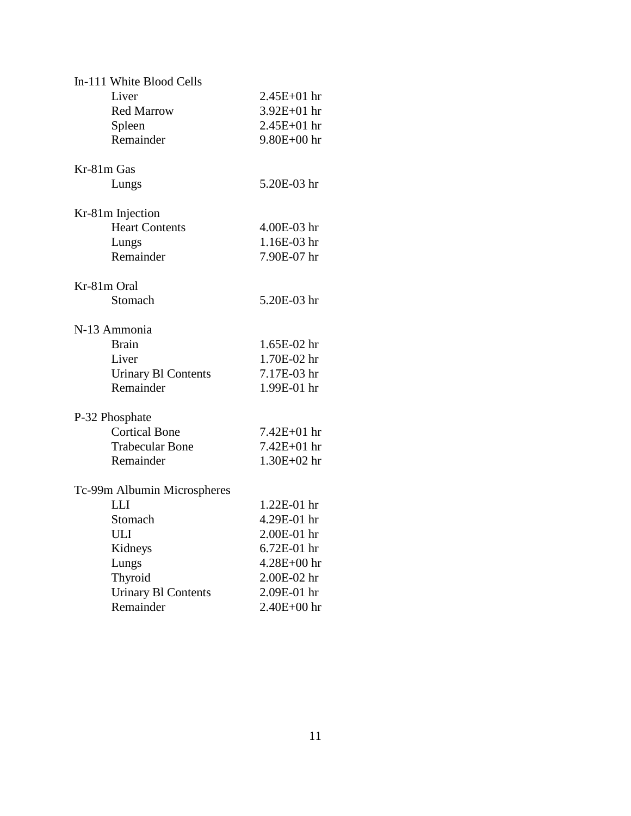| In-111 White Blood Cells    |                 |
|-----------------------------|-----------------|
| Liver                       | $2.45E + 01$ hr |
| <b>Red Marrow</b>           | 3.92E+01 hr     |
| Spleen                      | $2.45E + 01$ hr |
| Remainder                   | $9.80E + 00$ hr |
| Kr-81m Gas                  |                 |
| Lungs                       | 5.20E-03 hr     |
| Kr-81m Injection            |                 |
| <b>Heart Contents</b>       | 4.00E-03 hr     |
| Lungs                       | 1.16E-03 hr     |
| Remainder                   | 7.90E-07 hr     |
| Kr-81m Oral                 |                 |
| Stomach                     | 5.20E-03 hr     |
| N-13 Ammonia                |                 |
| <b>Brain</b>                | 1.65E-02 hr     |
| Liver                       | 1.70E-02 hr     |
| <b>Urinary B1 Contents</b>  | 7.17E-03 hr     |
| Remainder                   | 1.99E-01 hr     |
| P-32 Phosphate              |                 |
| <b>Cortical Bone</b>        | 7.42E+01 hr     |
| <b>Trabecular Bone</b>      | 7.42E+01 hr     |
| Remainder                   | $1.30E + 02$ hr |
| Tc-99m Albumin Microspheres |                 |
| <b>LLI</b>                  | 1.22E-01 hr     |
| Stomach                     | 4.29E-01 hr     |
| <b>ULI</b>                  | 2.00E-01 hr     |
| Kidneys                     | 6.72E-01 hr     |
| Lungs                       | 4.28E+00 hr     |
| Thyroid                     | 2.00E-02 hr     |
| <b>Urinary B1 Contents</b>  | 2.09E-01 hr     |
| Remainder                   | 2.40E+00 hr     |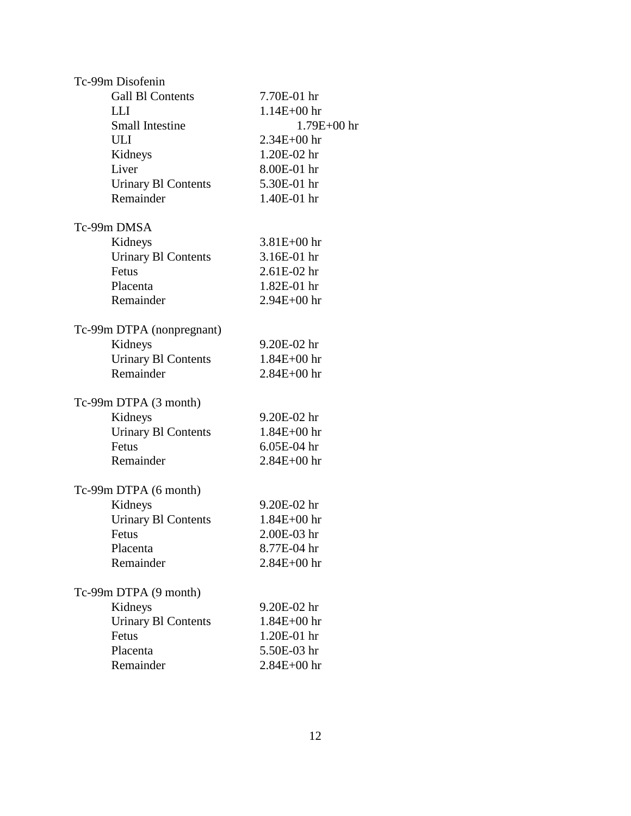| Tc-99m Disofenin           |                 |
|----------------------------|-----------------|
| <b>Gall Bl Contents</b>    | 7.70E-01 hr     |
| LLI                        | $1.14E + 00$ hr |
| <b>Small Intestine</b>     | $1.79E + 00$ hr |
| ULI                        | $2.34E + 00$ hr |
| Kidneys                    | 1.20E-02 hr     |
| Liver                      | 8.00E-01 hr     |
| <b>Urinary B1 Contents</b> | 5.30E-01 hr     |
| Remainder                  | 1.40E-01 hr     |
| Tc-99m DMSA                |                 |
| Kidneys                    | $3.81E + 00$ hr |
| <b>Urinary Bl Contents</b> | 3.16E-01 hr     |
| Fetus                      | $2.61E-02$ hr   |
| Placenta                   | 1.82E-01 hr     |
| Remainder                  | $2.94E + 00$ hr |
| Tc-99m DTPA (nonpregnant)  |                 |
| Kidneys                    | 9.20E-02 hr     |
| <b>Urinary B1 Contents</b> | $1.84E + 00$ hr |
| Remainder                  | $2.84E + 00$ hr |
| Tc-99m DTPA (3 month)      |                 |
| Kidneys                    | 9.20E-02 hr     |
| <b>Urinary Bl Contents</b> | $1.84E + 00$ hr |
| Fetus                      | $6.05E-04$ hr   |
| Remainder                  | 2.84E+00 hr     |
| Tc-99m DTPA (6 month)      |                 |
| Kidneys                    | 9.20E-02 hr     |
| <b>Urinary Bl Contents</b> | $1.84E + 00$ hr |
| Fetus                      | 2.00E-03 hr     |
| Placenta                   | 8.77E-04 hr     |
| Remainder                  | $2.84E + 00$ hr |
| Tc-99m DTPA (9 month)      |                 |
| Kidneys                    | 9.20E-02 hr     |
| <b>Urinary Bl Contents</b> | $1.84E + 00$ hr |
| Fetus                      | 1.20E-01 hr     |
| Placenta                   | 5.50E-03 hr     |
| Remainder                  | 2.84E+00 hr     |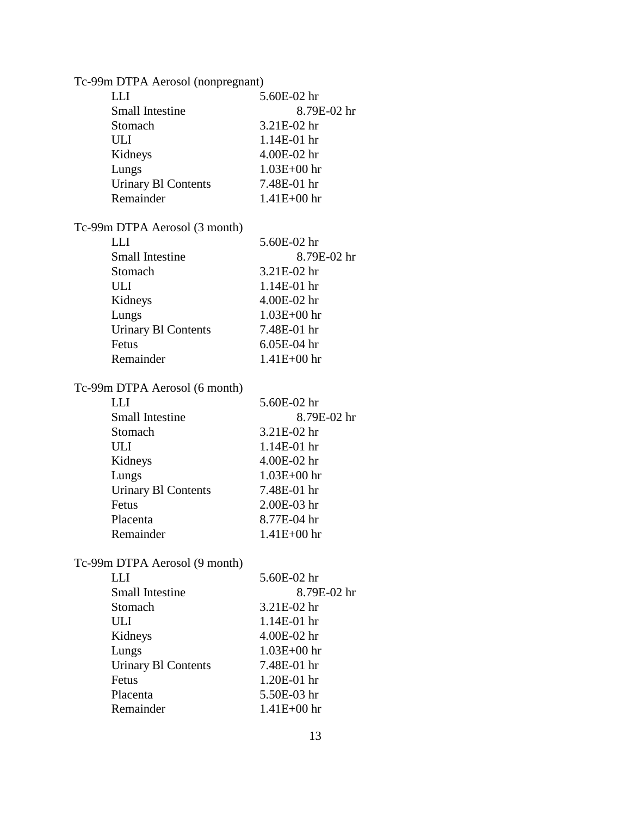| Tc-99m DTPA Aerosol (nonpregnant) |                 |
|-----------------------------------|-----------------|
| <b>LLI</b>                        | 5.60E-02 hr     |
| Small Intestine                   | 8.79E-02 hr     |
| Stomach                           | 3.21E-02 hr     |
| ULI                               | 1.14E-01 hr     |
| Kidneys                           | 4.00E-02 hr     |
| Lungs                             | $1.03E + 00$ hr |
| <b>Urinary Bl Contents</b>        | 7.48E-01 hr     |
| Remainder                         | $1.41E + 00$ hr |
| Tc-99m DTPA Aerosol (3 month)     |                 |
| <b>LLI</b>                        | 5.60E-02 hr     |
| <b>Small Intestine</b>            | 8.79E-02 hr     |
| Stomach                           | 3.21E-02 hr     |
| ULI                               | 1.14E-01 hr     |
| Kidneys                           | 4.00E-02 hr     |
| Lungs                             | $1.03E + 00$ hr |
| <b>Urinary B1 Contents</b>        | 7.48E-01 hr     |
| Fetus                             | 6.05E-04 hr     |
| Remainder                         | $1.41E + 00$ hr |
| Tc-99m DTPA Aerosol (6 month)     |                 |
| <b>LLI</b>                        | 5.60E-02 hr     |
| <b>Small Intestine</b>            | 8.79E-02 hr     |
| Stomach                           | 3.21E-02 hr     |
| ULI                               | 1.14E-01 hr     |
| Kidneys                           | 4.00E-02 hr     |
| Lungs                             | $1.03E + 00$ hr |
| <b>Urinary BI Contents</b>        | 7.48E-01 hr     |
| Fetus                             | 2.00E-03 hr     |
| Placenta                          | 8.77E-04 hr     |
| Remainder                         | $1.41E + 00$ hr |
| Tc-99m DTPA Aerosol (9 month)     |                 |
| <b>LLI</b>                        | 5.60E-02 hr     |
| <b>Small Intestine</b>            | 8.79E-02 hr     |
| Stomach                           | 3.21E-02 hr     |
| ULI                               | 1.14E-01 hr     |
| Kidneys                           | 4.00E-02 hr     |
| Lungs                             | $1.03E + 00$ hr |
| <b>Urinary B1 Contents</b>        | 7.48E-01 hr     |
| Fetus                             | 1.20E-01 hr     |
| Placenta                          | 5.50E-03 hr     |
| Remainder                         | 1.41E+00 hr     |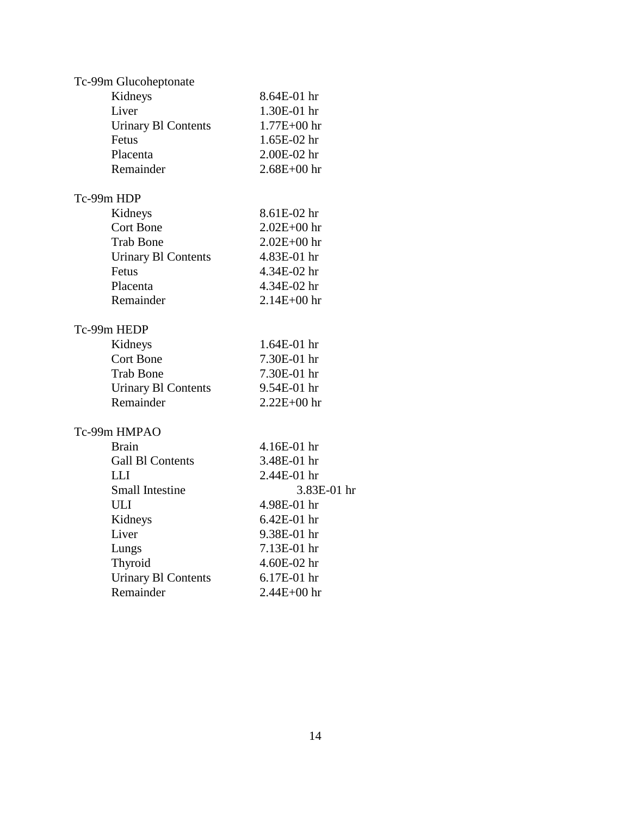| Tc-99m Glucoheptonate      |                 |
|----------------------------|-----------------|
| Kidneys                    | 8.64E-01 hr     |
| Liver                      | 1.30E-01 hr     |
| <b>Urinary Bl Contents</b> | $1.77E + 00$ hr |
| Fetus                      | 1.65E-02 hr     |
| Placenta                   | 2.00E-02 hr     |
| Remainder                  | $2.68E + 00$ hr |
| Tc-99m HDP                 |                 |
| Kidneys                    | 8.61E-02 hr     |
| <b>Cort Bone</b>           | $2.02E + 00$ hr |
| <b>Trab Bone</b>           | $2.02E + 00$ hr |
| <b>Urinary Bl Contents</b> | 4.83E-01 hr     |
| Fetus                      | 4.34E-02 hr     |
| Placenta                   | 4.34E-02 hr     |
| Remainder                  | $2.14E + 00$ hr |
| Tc-99m HEDP                |                 |
| Kidneys                    | 1.64E-01 hr     |
| <b>Cort Bone</b>           | 7.30E-01 hr     |
| <b>Trab Bone</b>           | 7.30E-01 hr     |
| <b>Urinary Bl Contents</b> | 9.54E-01 hr     |
| Remainder                  | 2.22E+00 hr     |
| Tc-99m HMPAO               |                 |
| <b>Brain</b>               | 4.16E-01 hr     |
| <b>Gall Bl Contents</b>    | 3.48E-01 hr     |
| LLI -                      | 2.44E-01 hr     |
| <b>Small Intestine</b>     | 3.83E-01 hr     |
| ULI                        | 4.98E-01 hr     |
| Kidneys                    | 6.42E-01 hr     |
| Liver                      | 9.38E-01 hr     |
| Lungs                      | 7.13E-01 hr     |
| Thyroid                    | 4.60E-02 hr     |
| <b>Urinary Bl Contents</b> | 6.17E-01 hr     |
| Remainder                  | 2.44E+00 hr     |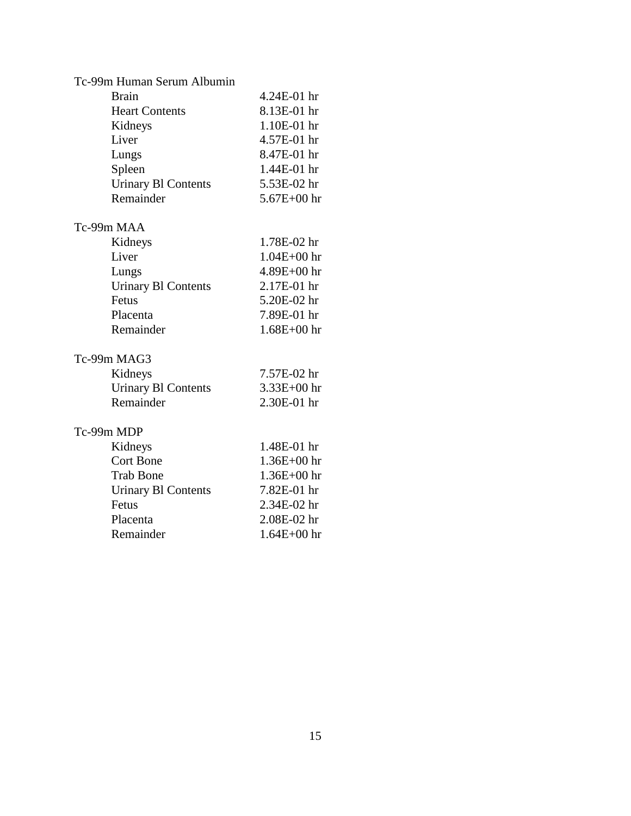| Tc-99m Human Serum Albumin |                 |
|----------------------------|-----------------|
| <b>Brain</b>               | 4.24E-01 hr     |
| <b>Heart Contents</b>      | 8.13E-01 hr     |
| Kidneys                    | 1.10E-01 hr     |
| Liver                      | 4.57E-01 hr     |
| Lungs                      | 8.47E-01 hr     |
| Spleen                     | 1.44E-01 hr     |
| <b>Urinary Bl Contents</b> | 5.53E-02 hr     |
| Remainder                  | $5.67E + 00$ hr |
| Tc-99m MAA                 |                 |
| Kidneys                    | 1.78E-02 hr     |
| Liver                      | $1.04E + 00$ hr |
| Lungs                      | $4.89E + 00$ hr |
| <b>Urinary B1 Contents</b> | 2.17E-01 hr     |
| Fetus                      | 5.20E-02 hr     |
| Placenta                   | 7.89E-01 hr     |
| Remainder                  | $1.68E + 00$ hr |
| Tc-99m MAG3                |                 |
| Kidneys                    | 7.57E-02 hr     |
| <b>Urinary Bl Contents</b> | $3.33E + 00$ hr |
| Remainder                  | 2.30E-01 hr     |
| Tc-99m MDP                 |                 |
| Kidneys                    | 1.48E-01 hr     |
| <b>Cort Bone</b>           | $1.36E + 00$ hr |
| <b>Trab Bone</b>           | $1.36E + 00$ hr |
| <b>Urinary BI Contents</b> | 7.82E-01 hr     |
| Fetus                      | 2.34E-02 hr     |
| Placenta                   | 2.08E-02 hr     |
| Remainder                  | $1.64E + 00$ hr |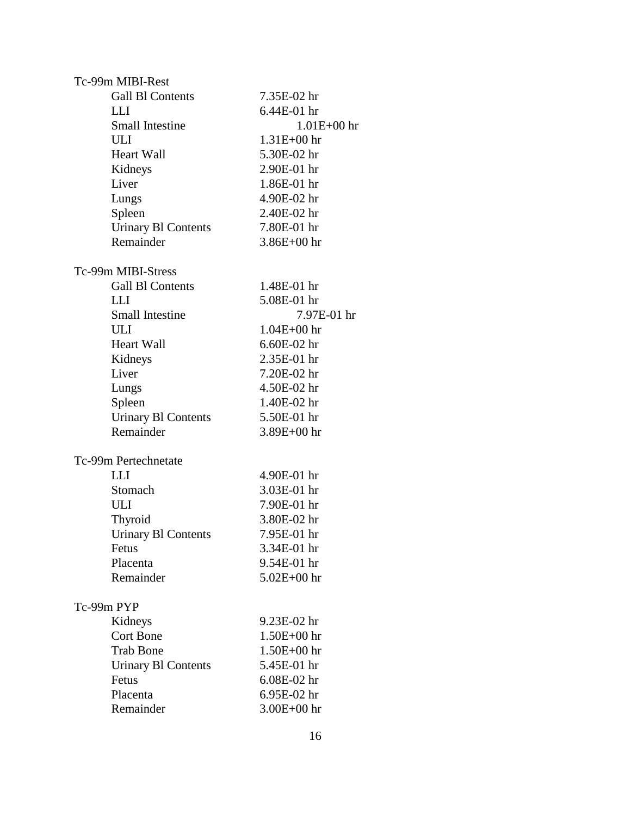| Tc-99m MIBI-Rest           |                 |
|----------------------------|-----------------|
| <b>Gall Bl Contents</b>    | 7.35E-02 hr     |
| LLI                        | 6.44E-01 hr     |
| <b>Small Intestine</b>     | $1.01E + 00$ hr |
| <b>ULI</b>                 | $1.31E + 00$ hr |
| <b>Heart Wall</b>          | 5.30E-02 hr     |
| Kidneys                    | 2.90E-01 hr     |
| Liver                      | 1.86E-01 hr     |
| Lungs                      | 4.90E-02 hr     |
| Spleen                     | 2.40E-02 hr     |
| <b>Urinary B1 Contents</b> | 7.80E-01 hr     |
| Remainder                  | $3.86E + 00$ hr |
| Tc-99m MIBI-Stress         |                 |
| <b>Gall Bl Contents</b>    | 1.48E-01 hr     |
| LLI                        | 5.08E-01 hr     |
| <b>Small Intestine</b>     | 7.97E-01 hr     |
| ULI                        | $1.04E + 00$ hr |
| <b>Heart Wall</b>          | 6.60E-02 hr     |
| Kidneys                    | 2.35E-01 hr     |
| Liver                      | 7.20E-02 hr     |
| Lungs                      | 4.50E-02 hr     |
| Spleen                     | 1.40E-02 hr     |
| <b>Urinary B1 Contents</b> | 5.50E-01 hr     |
| Remainder                  | $3.89E + 00$ hr |
|                            |                 |
| Tc-99m Pertechnetate       |                 |
| <b>LLI</b>                 | 4.90E-01 hr     |
| Stomach                    | 3.03E-01 hr     |
| ULI                        | 7.90E-01 hr     |
| Thyroid                    | 3.80E-02 hr     |
| <b>Urinary Bl Contents</b> | 7.95E-01 hr     |
| Fetus                      | 3.34E-01 hr     |
| Placenta                   | 9.54E-01 hr     |
| Remainder                  | $5.02E + 00$ hr |
| Tc-99m PYP                 |                 |
| Kidneys                    | 9.23E-02 hr     |
| <b>Cort Bone</b>           | $1.50E + 00$ hr |
| <b>Trab Bone</b>           | $1.50E + 00$ hr |
| <b>Urinary Bl Contents</b> | 5.45E-01 hr     |
| Fetus                      | 6.08E-02 hr     |
| Placenta                   | 6.95E-02 hr     |
| Remainder                  | 3.00E+00 hr     |
|                            |                 |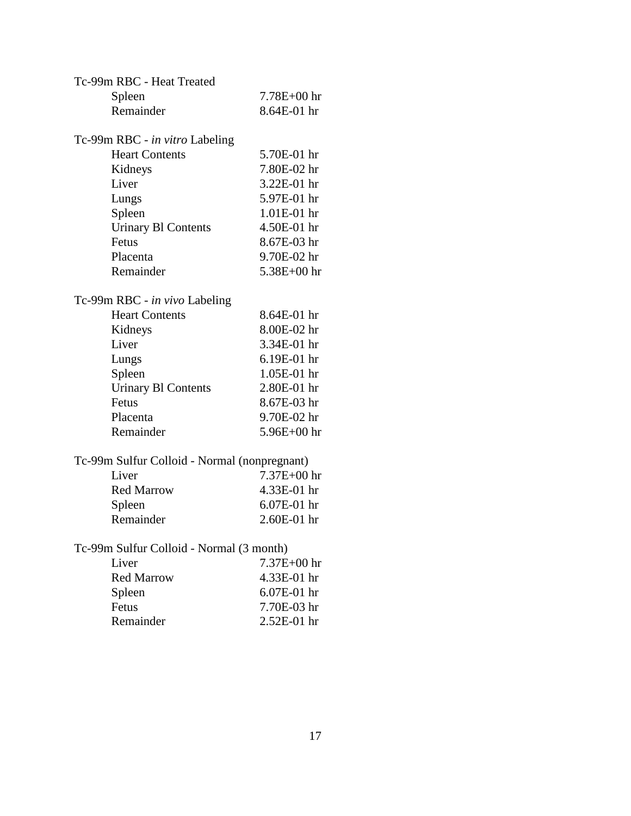| Tc-99m RBC - Heat Treated                    |                 |
|----------------------------------------------|-----------------|
| Spleen                                       | $7.78E + 00$ hr |
| Remainder                                    | 8.64E-01 hr     |
|                                              |                 |
| Tc-99m RBC - in vitro Labeling               |                 |
| <b>Heart Contents</b>                        | 5.70E-01 hr     |
| Kidneys                                      | 7.80E-02 hr     |
| Liver                                        | 3.22E-01 hr     |
| Lungs                                        | 5.97E-01 hr     |
| Spleen                                       | 1.01E-01 hr     |
| <b>Urinary B1 Contents</b>                   | 4.50E-01 hr     |
| Fetus                                        | 8.67E-03 hr     |
| Placenta                                     | 9.70E-02 hr     |
| Remainder                                    | $5.38E + 00$ hr |
| Tc-99m RBC - in vivo Labeling                |                 |
| <b>Heart Contents</b>                        | 8.64E-01 hr     |
| Kidneys                                      | 8.00E-02 hr     |
| Liver                                        | 3.34E-01 hr     |
| Lungs                                        | 6.19E-01 hr     |
| Spleen                                       | 1.05E-01 hr     |
| <b>Urinary BI Contents</b>                   | 2.80E-01 hr     |
| Fetus                                        | 8.67E-03 hr     |
| Placenta                                     | 9.70E-02 hr     |
| Remainder                                    | $5.96E + 00$ hr |
| Tc-99m Sulfur Colloid - Normal (nonpregnant) |                 |
| Liver                                        | 7.37E+00 hr     |
| <b>Red Marrow</b>                            | 4.33E-01 hr     |
|                                              | 6.07E-01 hr     |
| Spleen<br>Remainder                          | 2.60E-01 hr     |
|                                              |                 |
| Tc-99m Sulfur Colloid - Normal (3 month)     |                 |
| Liver                                        | 7.37E+00 hr     |
| <b>Red Marrow</b>                            | 4.33E-01 hr     |
| Spleen                                       | 6.07E-01 hr     |
| Fetus                                        | 7.70E-03 hr     |
| Remainder                                    | 2.52E-01 hr     |
|                                              |                 |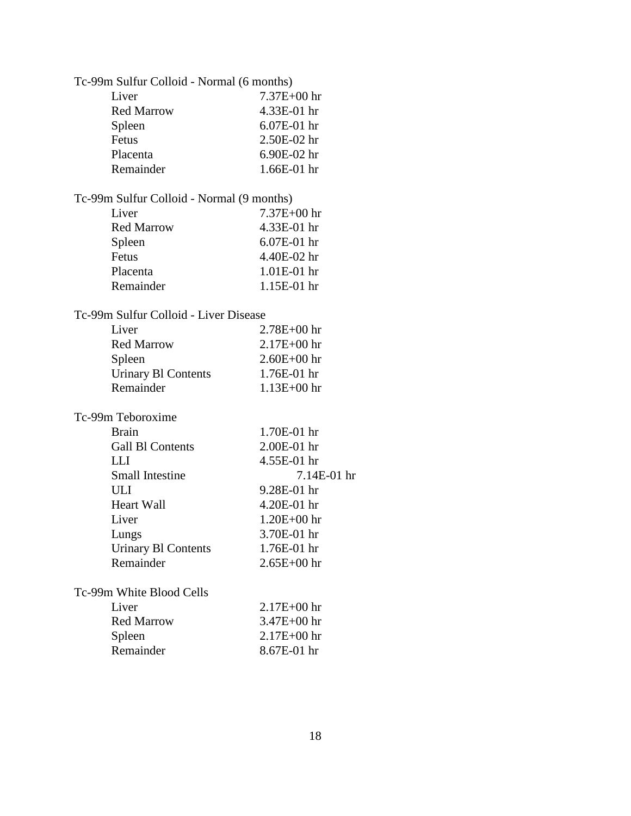| Tc-99m Sulfur Colloid - Normal (6 months) |                 |
|-------------------------------------------|-----------------|
| Liver                                     | $7.37E + 00$ hr |
| <b>Red Marrow</b>                         | 4.33E-01 hr     |
| Spleen                                    | 6.07E-01 hr     |
| Fetus                                     | 2.50E-02 hr     |
| Placenta                                  | 6.90E-02 hr     |
| Remainder                                 | 1.66E-01 hr     |

## Tc-99m Sulfur Colloid - Normal (9 months)

| Liver             | $7.37E + 00$ hr |
|-------------------|-----------------|
| <b>Red Marrow</b> | 4.33E-01 hr     |
| Spleen            | $6.07E-01$ hr   |
| Fetus             | 4.40E-02 hr     |
| Placenta          | $1.01E-01$ hr   |
| Remainder         | $1.15E-01$ hr   |

### Tc-99m Sulfur Colloid - Liver Disease

| $2.78E + 00$ hr |
|-----------------|
| $2.17E + 00$ hr |
| $2.60E + 00$ hr |
| $1.76E-01$ hr   |
| $1.13E + 00$ hr |
|                 |

#### Tc-99m Teboroxime

| <b>Brain</b>               | $1.70E-01$ hr   |
|----------------------------|-----------------|
| Gall Bl Contents           | $2.00E-01$ hr   |
| L L I                      | 4.55E-01 hr     |
| Small Intestine            | $7.14E-01$ hr   |
| ULI                        | 9.28E-01 hr     |
| <b>Heart Wall</b>          | $4.20E-01$ hr   |
| Liver                      | $1.20E + 00$ hr |
| Lungs                      | 3.70E-01 hr     |
| <b>Urinary B1 Contents</b> | 1.76E-01 hr     |
| Remainder                  | $2.65E + 00$ hr |
|                            |                 |
| Tc-99m White Blood Cells   |                 |

| Liver             | $2.17E + 00$ hr |
|-------------------|-----------------|
| <b>Red Marrow</b> | $3.47E + 00$ hr |
| Spleen            | $2.17E + 00$ hr |
| Remainder         | $8.67E-01$ hr   |
|                   |                 |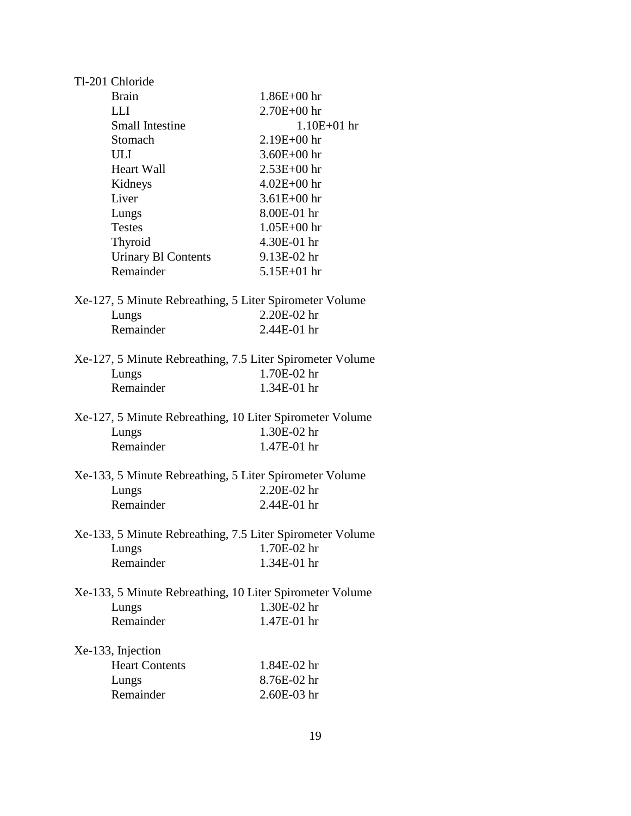| Tl-201 Chloride                                           |                 |
|-----------------------------------------------------------|-----------------|
| <b>Brain</b>                                              | $1.86E + 00$ hr |
| <b>LLI</b>                                                | $2.70E + 00$ hr |
| <b>Small Intestine</b>                                    | $1.10E + 01$ hr |
| Stomach                                                   | $2.19E + 00$ hr |
| ULI                                                       | $3.60E + 00$ hr |
| <b>Heart Wall</b>                                         | $2.53E + 00$ hr |
| Kidneys                                                   | $4.02E + 00$ hr |
| Liver                                                     | $3.61E + 00$ hr |
| Lungs                                                     | 8.00E-01 hr     |
| <b>Testes</b>                                             | $1.05E + 00$ hr |
| Thyroid                                                   | 4.30E-01 hr     |
| <b>Urinary Bl Contents</b>                                | 9.13E-02 hr     |
| Remainder                                                 | $5.15E + 01$ hr |
|                                                           |                 |
| Xe-127, 5 Minute Rebreathing, 5 Liter Spirometer Volume   |                 |
| Lungs                                                     | 2.20E-02 hr     |
| Remainder                                                 | 2.44E-01 hr     |
| Xe-127, 5 Minute Rebreathing, 7.5 Liter Spirometer Volume |                 |
| Lungs                                                     | 1.70E-02 hr     |
| Remainder                                                 | 1.34E-01 hr     |
|                                                           |                 |
| Xe-127, 5 Minute Rebreathing, 10 Liter Spirometer Volume  |                 |
| Lungs                                                     | 1.30E-02 hr     |
| Remainder                                                 | 1.47E-01 hr     |
|                                                           |                 |
| Xe-133, 5 Minute Rebreathing, 5 Liter Spirometer Volume   | 2.20E-02 hr     |
| Lungs<br>Remainder                                        | 2.44E-01 hr     |
|                                                           |                 |
| Xe-133, 5 Minute Rebreathing, 7.5 Liter Spirometer Volume |                 |
| Lungs                                                     | 1.70E-02 hr     |
| Remainder                                                 | 1.34E-01 hr     |
|                                                           |                 |
| Xe-133, 5 Minute Rebreathing, 10 Liter Spirometer Volume  |                 |
| Lungs                                                     | 1.30E-02 hr     |
| Remainder                                                 | 1.47E-01 hr     |
| Xe-133, Injection                                         |                 |
| <b>Heart Contents</b>                                     | 1.84E-02 hr     |
| Lungs                                                     | 8.76E-02 hr     |
| Remainder                                                 | 2.60E-03 hr     |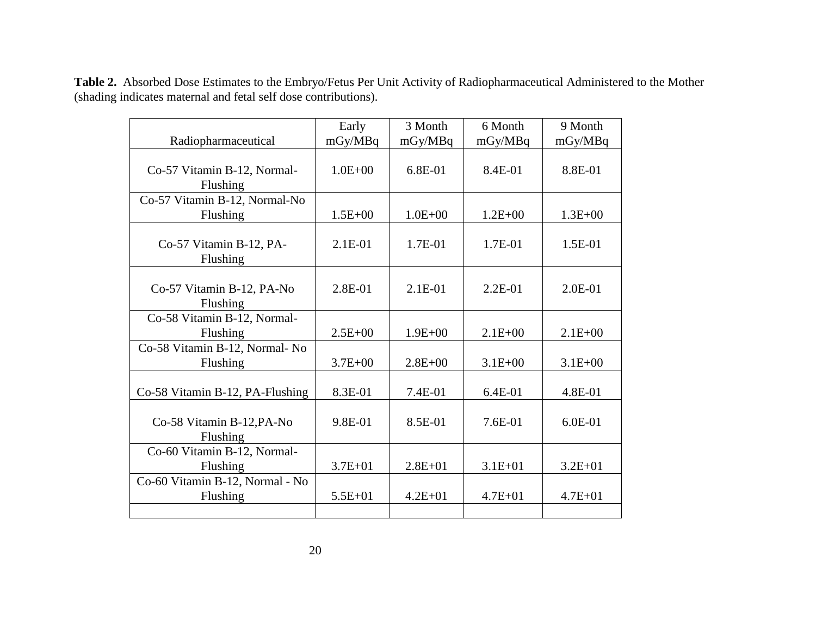|                                             | Early       | 3 Month     | 6 Month     | 9 Month     |
|---------------------------------------------|-------------|-------------|-------------|-------------|
| Radiopharmaceutical                         | mGy/MBq     | mGy/MBq     | mGy/MBq     | mGy/MBq     |
| Co-57 Vitamin B-12, Normal-<br>Flushing     | $1.0E + 00$ | 6.8E-01     | 8.4E-01     | 8.8E-01     |
| Co-57 Vitamin B-12, Normal-No<br>Flushing   | $1.5E + 00$ | $1.0E + 00$ | $1.2E + 00$ | $1.3E + 00$ |
| Co-57 Vitamin B-12, PA-<br>Flushing         | $2.1E-01$   | 1.7E-01     | 1.7E-01     | $1.5E-01$   |
| Co-57 Vitamin B-12, PA-No<br>Flushing       | 2.8E-01     | $2.1E-01$   | $2.2E-01$   | $2.0E-01$   |
| Co-58 Vitamin B-12, Normal-<br>Flushing     | $2.5E+00$   | $1.9E + 00$ | $2.1E + 00$ | $2.1E + 00$ |
| Co-58 Vitamin B-12, Normal- No<br>Flushing  | $3.7E + 00$ | $2.8E + 00$ | $3.1E + 00$ | $3.1E + 00$ |
| Co-58 Vitamin B-12, PA-Flushing             | 8.3E-01     | 7.4E-01     | $6.4E-01$   | 4.8E-01     |
| Co-58 Vitamin B-12, PA-No<br>Flushing       | 9.8E-01     | 8.5E-01     | $7.6E-01$   | $6.0E-01$   |
| Co-60 Vitamin B-12, Normal-<br>Flushing     | $3.7E + 01$ | $2.8E + 01$ | $3.1E + 01$ | $3.2E + 01$ |
| Co-60 Vitamin B-12, Normal - No<br>Flushing | $5.5E + 01$ | $4.2E + 01$ | $4.7E + 01$ | $4.7E + 01$ |
|                                             |             |             |             |             |

**Table 2.** Absorbed Dose Estimates to the Embryo/Fetus Per Unit Activity of Radiopharmaceutical Administered to the Mother (shading indicates maternal and fetal self dose contributions).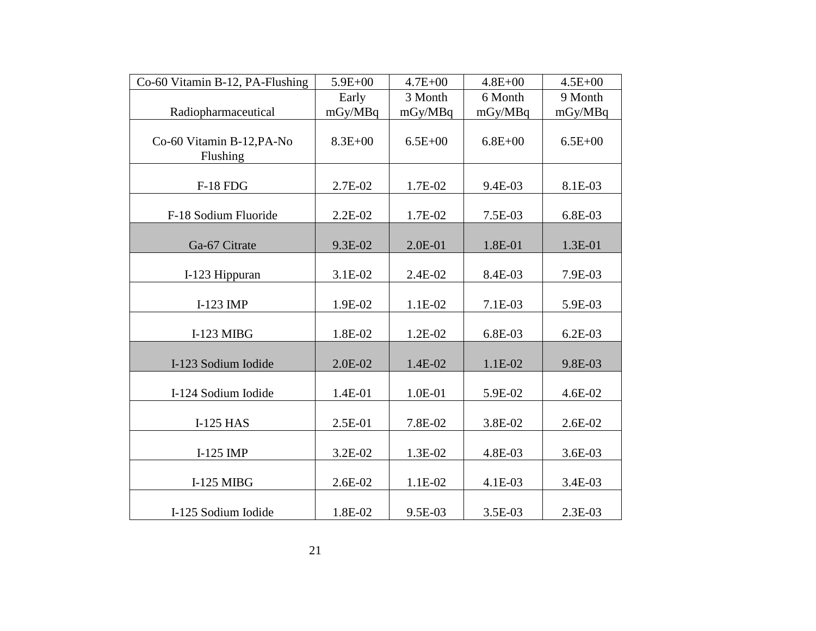| Co-60 Vitamin B-12, PA-Flushing       | $5.9E + 00$ | $4.7E + 00$ | $4.8E + 00$ | $4.5E + 00$ |
|---------------------------------------|-------------|-------------|-------------|-------------|
|                                       | Early       | 3 Month     | 6 Month     | 9 Month     |
| Radiopharmaceutical                   | mGy/MBq     | mGy/MBq     | mGy/MBq     | mGy/MBq     |
| Co-60 Vitamin B-12, PA-No<br>Flushing | $8.3E + 00$ | $6.5E + 00$ | $6.8E + 00$ | $6.5E + 00$ |
| <b>F-18 FDG</b>                       | 2.7E-02     | 1.7E-02     | 9.4E-03     | 8.1E-03     |
| F-18 Sodium Fluoride                  | $2.2E-02$   | 1.7E-02     | 7.5E-03     | 6.8E-03     |
| Ga-67 Citrate                         | 9.3E-02     | 2.0E-01     | 1.8E-01     | 1.3E-01     |
| I-123 Hippuran                        | 3.1E-02     | 2.4E-02     | 8.4E-03     | 7.9E-03     |
| I-123 IMP                             | 1.9E-02     | 1.1E-02     | 7.1E-03     | 5.9E-03     |
| $I-123$ MIBG                          | 1.8E-02     | 1.2E-02     | 6.8E-03     | $6.2E-03$   |
| I-123 Sodium Iodide                   | 2.0E-02     | 1.4E-02     | 1.1E-02     | 9.8E-03     |
| I-124 Sodium Iodide                   | 1.4E-01     | 1.0E-01     | 5.9E-02     | 4.6E-02     |
| <b>I-125 HAS</b>                      | 2.5E-01     | 7.8E-02     | 3.8E-02     | 2.6E-02     |
| $I-125$ IMP                           | 3.2E-02     | 1.3E-02     | 4.8E-03     | 3.6E-03     |
| <b>I-125 MIBG</b>                     | 2.6E-02     | 1.1E-02     | 4.1E-03     | 3.4E-03     |
| I-125 Sodium Iodide                   | 1.8E-02     | 9.5E-03     | 3.5E-03     | 2.3E-03     |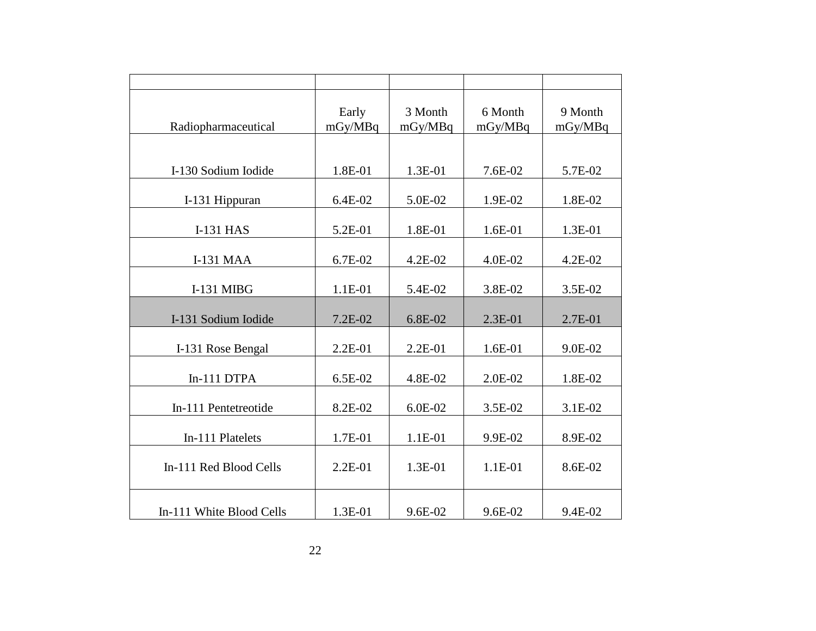| Radiopharmaceutical      | Early<br>mGy/MBq | 3 Month<br>mGy/MBq | 6 Month<br>mGy/MBq | 9 Month<br>mGy/MBq |
|--------------------------|------------------|--------------------|--------------------|--------------------|
| I-130 Sodium Iodide      | 1.8E-01          | 1.3E-01            | 7.6E-02            | 5.7E-02            |
| I-131 Hippuran           | 6.4E-02          | 5.0E-02            | 1.9E-02            | 1.8E-02            |
| <b>I-131 HAS</b>         | 5.2E-01          | 1.8E-01            | 1.6E-01            | 1.3E-01            |
| <b>I-131 MAA</b>         | 6.7E-02          | 4.2E-02            | 4.0E-02            | 4.2E-02            |
| I-131 MIBG               | 1.1E-01          | 5.4E-02            | 3.8E-02            | 3.5E-02            |
| I-131 Sodium Iodide      | 7.2E-02          | 6.8E-02            | $2.3E-01$          | 2.7E-01            |
| I-131 Rose Bengal        | 2.2E-01          | 2.2E-01            | 1.6E-01            | 9.0E-02            |
| In-111 DTPA              | 6.5E-02          | 4.8E-02            | 2.0E-02            | 1.8E-02            |
| In-111 Pentetreotide     | 8.2E-02          | 6.0E-02            | 3.5E-02            | 3.1E-02            |
| In-111 Platelets         | 1.7E-01          | 1.1E-01            | 9.9E-02            | 8.9E-02            |
| In-111 Red Blood Cells   | $2.2E-01$        | 1.3E-01            | 1.1E-01            | 8.6E-02            |
| In-111 White Blood Cells | 1.3E-01          | 9.6E-02            | 9.6E-02            | 9.4E-02            |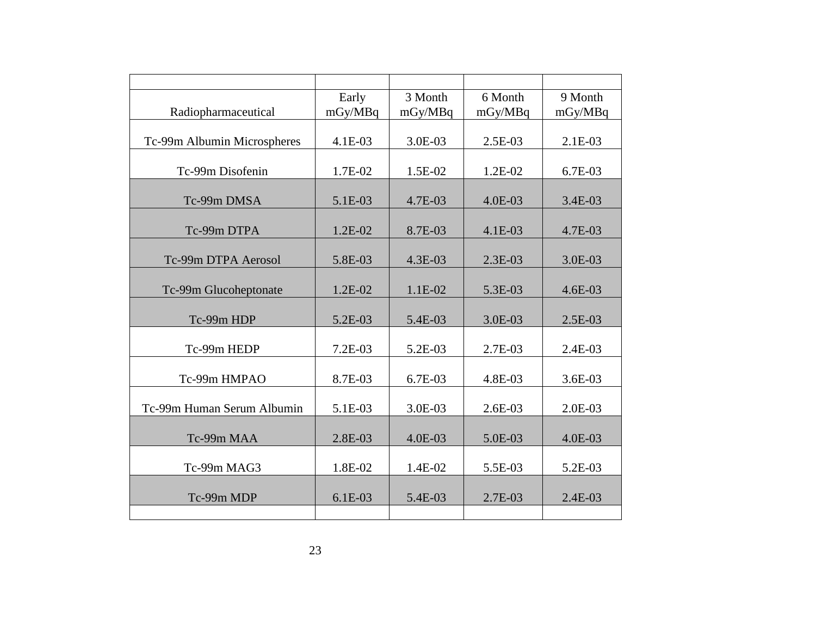|                             | Early     | 3 Month   | 6 Month | 9 Month   |
|-----------------------------|-----------|-----------|---------|-----------|
| Radiopharmaceutical         | mGy/MBq   | mGy/MBq   | mGy/MBq | mGy/MBq   |
|                             |           |           |         |           |
| Tc-99m Albumin Microspheres | 4.1E-03   | 3.0E-03   | 2.5E-03 | $2.1E-03$ |
|                             |           |           |         |           |
| Tc-99m Disofenin            | 1.7E-02   | 1.5E-02   | 1.2E-02 | 6.7E-03   |
|                             |           |           |         |           |
| Tc-99m DMSA                 | 5.1E-03   | 4.7E-03   | 4.0E-03 | 3.4E-03   |
| Tc-99m DTPA                 | $1.2E-02$ | 8.7E-03   | 4.1E-03 | 4.7E-03   |
|                             |           |           |         |           |
| Tc-99m DTPA Aerosol         | 5.8E-03   | 4.3E-03   | 2.3E-03 | 3.0E-03   |
|                             |           |           |         |           |
| Tc-99m Glucoheptonate       | $1.2E-02$ | 1.1E-02   | 5.3E-03 | $4.6E-03$ |
|                             |           |           |         |           |
| Tc-99m HDP                  | 5.2E-03   | 5.4E-03   | 3.0E-03 | $2.5E-03$ |
|                             |           |           |         |           |
| Tc-99m HEDP                 | 7.2E-03   | 5.2E-03   | 2.7E-03 | 2.4E-03   |
|                             |           |           |         |           |
| Tc-99m HMPAO                | 8.7E-03   | 6.7E-03   | 4.8E-03 | 3.6E-03   |
| Tc-99m Human Serum Albumin  | 5.1E-03   | 3.0E-03   |         |           |
|                             |           |           | 2.6E-03 | 2.0E-03   |
| Tc-99m MAA                  | 2.8E-03   | $4.0E-03$ | 5.0E-03 | 4.0E-03   |
|                             |           |           |         |           |
| Tc-99m MAG3                 | 1.8E-02   | 1.4E-02   | 5.5E-03 | 5.2E-03   |
|                             |           |           |         |           |
| Tc-99m MDP                  | 6.1E-03   | 5.4E-03   | 2.7E-03 | $2.4E-03$ |
|                             |           |           |         |           |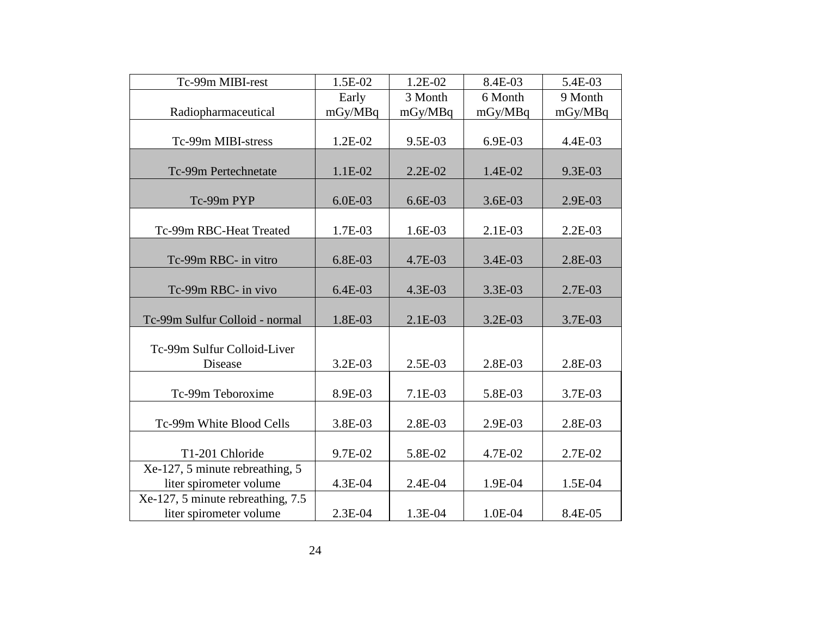| Tc-99m MIBI-rest                  | 1.5E-02   | $1.2E-02$ | 8.4E-03   | 5.4E-03   |
|-----------------------------------|-----------|-----------|-----------|-----------|
|                                   | Early     | 3 Month   | 6 Month   | 9 Month   |
| Radiopharmaceutical               | mGy/MBq   | mGy/MBq   | mGy/MBq   | mGy/MBq   |
|                                   |           |           |           |           |
| Tc-99m MIBI-stress                | 1.2E-02   | 9.5E-03   | 6.9E-03   | 4.4E-03   |
|                                   |           |           |           |           |
| Tc-99m Pertechnetate              | 1.1E-02   | $2.2E-02$ | 1.4E-02   | 9.3E-03   |
|                                   |           |           |           |           |
| Tc-99m PYP                        | $6.0E-03$ | $6.6E-03$ | $3.6E-03$ | 2.9E-03   |
|                                   |           |           |           |           |
| Tc-99m RBC-Heat Treated           | 1.7E-03   | $1.6E-03$ | 2.1E-03   | $2.2E-03$ |
|                                   |           |           |           |           |
| Tc-99m RBC- in vitro              | 6.8E-03   | 4.7E-03   | 3.4E-03   | 2.8E-03   |
|                                   |           |           |           |           |
| Tc-99m RBC- in vivo               | $6.4E-03$ | 4.3E-03   | 3.3E-03   | 2.7E-03   |
|                                   |           |           |           |           |
| Tc-99m Sulfur Colloid - normal    | 1.8E-03   | $2.1E-03$ | $3.2E-03$ | 3.7E-03   |
|                                   |           |           |           |           |
| Tc-99m Sulfur Colloid-Liver       |           |           |           |           |
| Disease                           | 3.2E-03   | 2.5E-03   | 2.8E-03   | 2.8E-03   |
|                                   |           |           |           |           |
| Tc-99m Teboroxime                 | 8.9E-03   | 7.1E-03   | 5.8E-03   | 3.7E-03   |
|                                   |           |           |           |           |
| Tc-99m White Blood Cells          | 3.8E-03   | 2.8E-03   | 2.9E-03   | 2.8E-03   |
|                                   |           |           |           |           |
| T1-201 Chloride                   | 9.7E-02   | 5.8E-02   | 4.7E-02   | 2.7E-02   |
| Xe-127, 5 minute rebreathing, 5   |           |           |           |           |
| liter spirometer volume           | 4.3E-04   | 2.4E-04   | 1.9E-04   | 1.5E-04   |
| Xe-127, 5 minute rebreathing, 7.5 |           |           |           |           |
| liter spirometer volume           | 2.3E-04   | 1.3E-04   | 1.0E-04   | 8.4E-05   |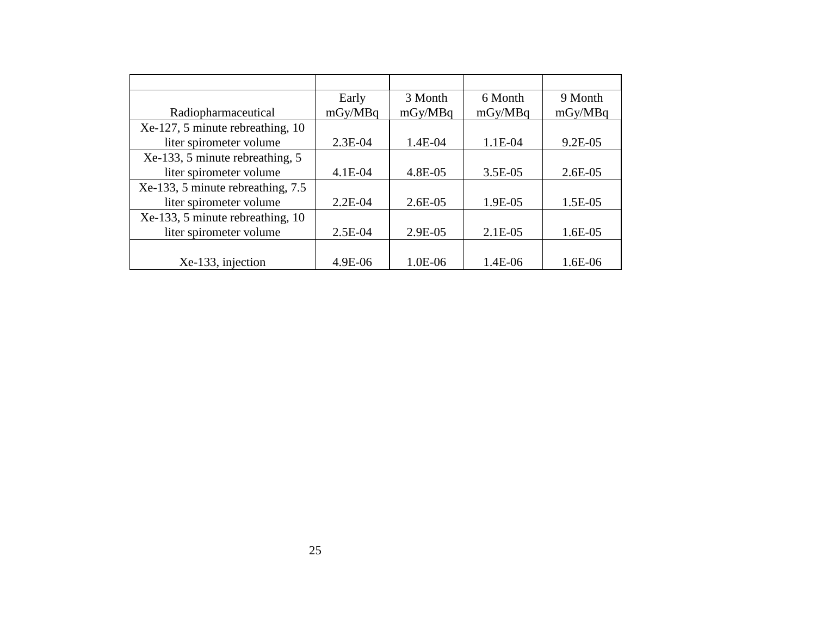|                                   | Early     | 3 Month   | 6 Month   | 9 Month   |
|-----------------------------------|-----------|-----------|-----------|-----------|
| Radiopharmaceutical               | mGy/MBq   | mGy/MBq   | mGy/MBq   | mGy/MBq   |
| Xe-127, 5 minute rebreathing, 10  |           |           |           |           |
| liter spirometer volume           | 2.3E-04   | 1.4E-04   | 1.1E-04   | 9.2E-05   |
| Xe-133, 5 minute rebreathing, 5   |           |           |           |           |
| liter spirometer volume           | 4.1E-04   | 4.8E-05   | 3.5E-05   | $2.6E-05$ |
| Xe-133, 5 minute rebreathing, 7.5 |           |           |           |           |
| liter spirometer volume           | $2.2E-04$ | $2.6E-05$ | 1.9E-05   | 1.5E-05   |
| Xe-133, 5 minute rebreathing, 10  |           |           |           |           |
| liter spirometer volume           | 2.5E-04   | 2.9E-05   | $2.1E-05$ | $1.6E-05$ |
|                                   |           |           |           |           |
| Xe-133, injection                 | 4.9E-06   | 1.0E-06   | 1.4E-06   | 1.6E-06   |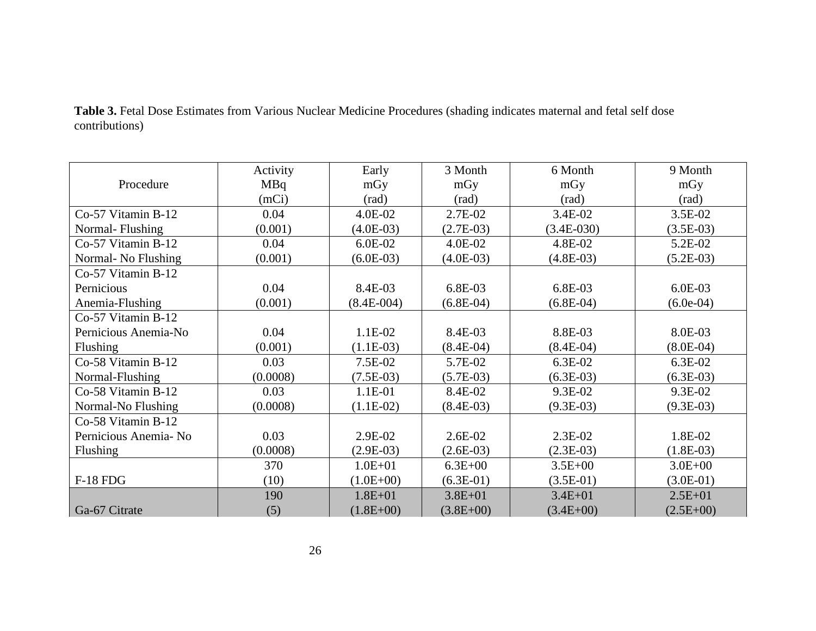|                       | Activity | Early         | 3 Month     | 6 Month        | 9 Month     |
|-----------------------|----------|---------------|-------------|----------------|-------------|
| Procedure             | MBq      | mGy           | mGy         | mGy            | mGy         |
|                       | (mCi)    | (rad)         | (rad)       | $\text{(rad)}$ | (rad)       |
| Co-57 Vitamin B-12    | 0.04     | 4.0E-02       | 2.7E-02     | 3.4E-02        | $3.5E-02$   |
| Normal-Flushing       | (0.001)  | $(4.0E-03)$   | $(2.7E-03)$ | $(3.4E-030)$   | $(3.5E-03)$ |
| Co-57 Vitamin B-12    | 0.04     | 6.0E-02       | 4.0E-02     | 4.8E-02        | 5.2E-02     |
| Normal- No Flushing   | (0.001)  | $(6.0E-03)$   | $(4.0E-03)$ | $(4.8E-03)$    | $(5.2E-03)$ |
| Co-57 Vitamin B-12    |          |               |             |                |             |
| Pernicious            | 0.04     | 8.4E-03       | 6.8E-03     | 6.8E-03        | $6.0E-03$   |
| Anemia-Flushing       | (0.001)  | $(8.4E-004)$  | $(6.8E-04)$ | $(6.8E-04)$    | $(6.0e-04)$ |
| Co-57 Vitamin B-12    |          |               |             |                |             |
| Pernicious Anemia-No  | 0.04     | 1.1E-02       | 8.4E-03     | 8.8E-03        | 8.0E-03     |
| Flushing              | (0.001)  | $(1.1E-03)$   | $(8.4E-04)$ | $(8.4E-04)$    | $(8.0E-04)$ |
| Co-58 Vitamin B-12    | 0.03     | 7.5E-02       | 5.7E-02     | 6.3E-02        | 6.3E-02     |
| Normal-Flushing       | (0.0008) | $(7.5E-03)$   | $(5.7E-03)$ | $(6.3E-03)$    | $(6.3E-03)$ |
| Co-58 Vitamin B-12    | 0.03     | 1.1E-01       | 8.4E-02     | 9.3E-02        | 9.3E-02     |
| Normal-No Flushing    | (0.0008) | $(1.1E-02)$   | $(8.4E-03)$ | $(9.3E-03)$    | $(9.3E-03)$ |
| Co-58 Vitamin B-12    |          |               |             |                |             |
| Pernicious Anemia- No | 0.03     | 2.9E-02       | $2.6E-02$   | $2.3E-02$      | 1.8E-02     |
| Flushing              | (0.0008) | $(2.9E-03)$   | $(2.6E-03)$ | $(2.3E-03)$    | $(1.8E-03)$ |
|                       | 370      | $1.0E + 01$   | $6.3E + 00$ | $3.5E + 00$    | $3.0E + 00$ |
| <b>F-18 FDG</b>       | (10)     | $(1.0E+00)$   | $(6.3E-01)$ | $(3.5E-01)$    | $(3.0E-01)$ |
|                       | 190      | $1.8E + 01$   | $3.8E + 01$ | $3.4E + 01$    | $2.5E + 01$ |
| Ga-67 Citrate         | (5)      | $(1.8E + 00)$ | $(3.8E+00)$ | $(3.4E+00)$    | $(2.5E+00)$ |

Table 3. Fetal Dose Estimates from Various Nuclear Medicine Procedures (shading indicates maternal and fetal self dose contributions)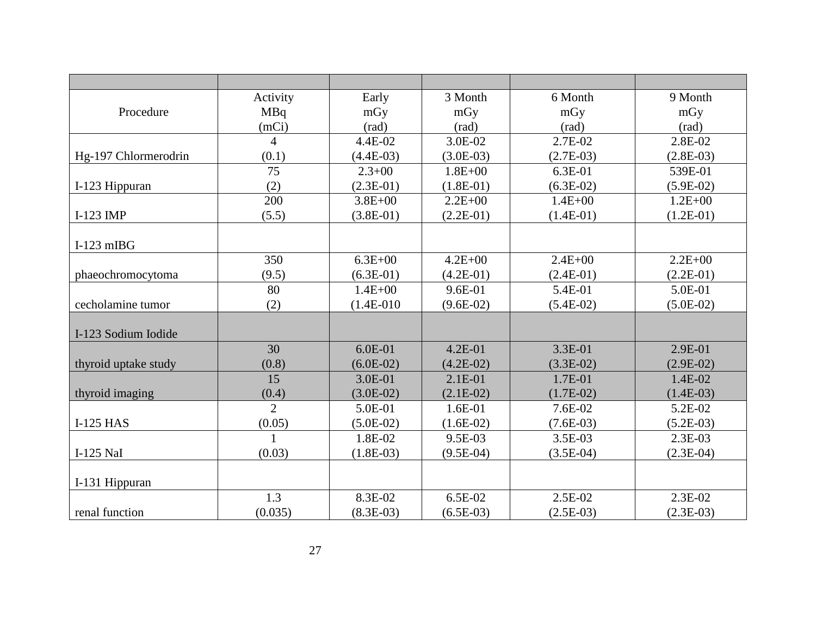|                      | Activity       | Early          | 3 Month        | 6 Month        | 9 Month        |
|----------------------|----------------|----------------|----------------|----------------|----------------|
| Procedure            | MBq            | mGy            | mGy            | mGy            | mGy            |
|                      | (mCi)          | $\text{(rad)}$ | $\text{(rad)}$ | $\text{(rad)}$ | $\text{(rad)}$ |
|                      | $\overline{4}$ | 4.4E-02        | 3.0E-02        | 2.7E-02        | 2.8E-02        |
| Hg-197 Chlormerodrin | (0.1)          | $(4.4E-03)$    | $(3.0E-03)$    | $(2.7E-03)$    | $(2.8E-03)$    |
|                      | 75             | $2.3 + 00$     | $1.8E + 00$    | 6.3E-01        | 539E-01        |
| I-123 Hippuran       | (2)            | $(2.3E-01)$    | $(1.8E-01)$    | $(6.3E-02)$    | $(5.9E-02)$    |
|                      | 200            | $3.8E + 00$    | $2.2E + 00$    | $1.4E + 00$    | $1.2E + 00$    |
| I-123 IMP            | (5.5)          | $(3.8E-01)$    | $(2.2E-01)$    | $(1.4E-01)$    | $(1.2E-01)$    |
|                      |                |                |                |                |                |
| $I-123$ mIBG         |                |                |                |                |                |
|                      | 350            | $6.3E + 00$    | $4.2E + 00$    | $2.4E + 00$    | $2.2E + 00$    |
| phaeochromocytoma    | (9.5)          | $(6.3E-01)$    | $(4.2E-01)$    | $(2.4E-01)$    | $(2.2E-01)$    |
|                      | 80             | $1.4E + 00$    | 9.6E-01        | 5.4E-01        | 5.0E-01        |
| cecholamine tumor    | (2)            | $(1.4E-010)$   | $(9.6E-02)$    | $(5.4E-02)$    | $(5.0E-02)$    |
|                      |                |                |                |                |                |
| I-123 Sodium Iodide  |                |                |                |                |                |
|                      | 30             | $6.0E-01$      | $4.2E - 01$    | 3.3E-01        | 2.9E-01        |
| thyroid uptake study | (0.8)          | $(6.0E-02)$    | $(4.2E-02)$    | $(3.3E-02)$    | $(2.9E-02)$    |
|                      | 15             | 3.0E-01        | $2.1E-01$      | 1.7E-01        | 1.4E-02        |
| thyroid imaging      | (0.4)          | $(3.0E-02)$    | $(2.1E-02)$    | $(1.7E-02)$    | $(1.4E-03)$    |
|                      | $\overline{2}$ | 5.0E-01        | $1.6E-01$      | 7.6E-02        | 5.2E-02        |
| <b>I-125 HAS</b>     | (0.05)         | $(5.0E-02)$    | $(1.6E-02)$    | $(7.6E-03)$    | $(5.2E-03)$    |
|                      |                | 1.8E-02        | 9.5E-03        | 3.5E-03        | 2.3E-03        |
| I-125 NaI            | (0.03)         | $(1.8E-03)$    | $(9.5E-04)$    | $(3.5E-04)$    | $(2.3E-04)$    |
|                      |                |                |                |                |                |
| I-131 Hippuran       |                |                |                |                |                |
|                      | 1.3            | 8.3E-02        | 6.5E-02        | 2.5E-02        | $2.3E-02$      |
| renal function       | (0.035)        | $(8.3E-03)$    | $(6.5E-03)$    | $(2.5E-03)$    | $(2.3E-03)$    |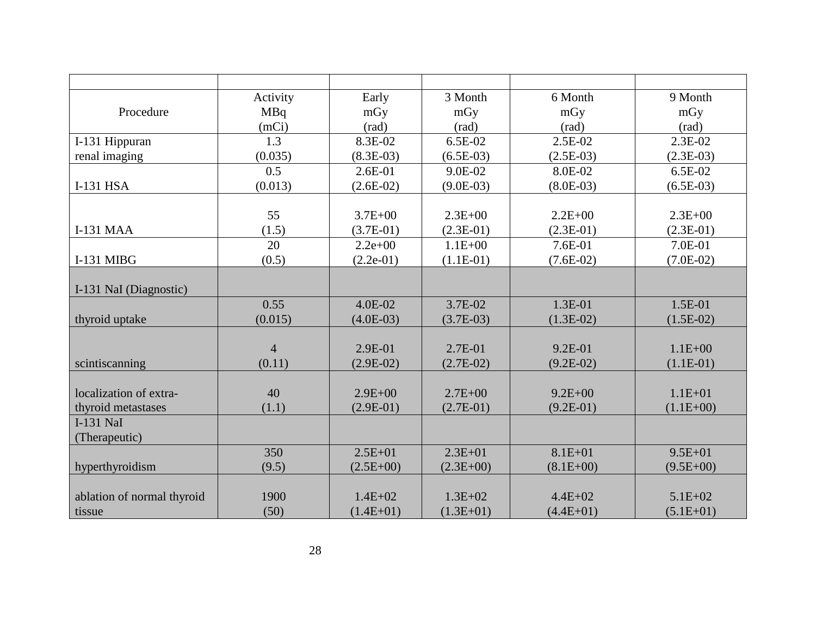|                            | Activity       | Early       | 3 Month        | 6 Month        | 9 Month     |
|----------------------------|----------------|-------------|----------------|----------------|-------------|
| Procedure                  | <b>MBq</b>     | mGy         | mGy            | mGy            | mGy         |
|                            | (mCi)          | (rad)       | $\text{(rad)}$ | $\text{(rad)}$ | (rad)       |
| I-131 Hippuran             | 1.3            | 8.3E-02     | 6.5E-02        | 2.5E-02        | 2.3E-02     |
| renal imaging              | (0.035)        | $(8.3E-03)$ | $(6.5E-03)$    | $(2.5E-03)$    | $(2.3E-03)$ |
|                            | 0.5            | $2.6E-01$   | 9.0E-02        | 8.0E-02        | 6.5E-02     |
| I-131 HSA                  | (0.013)        | $(2.6E-02)$ | $(9.0E-03)$    | $(8.0E-03)$    | $(6.5E-03)$ |
|                            |                |             |                |                |             |
|                            | 55             | $3.7E + 00$ | $2.3E + 00$    | $2.2E + 00$    | $2.3E + 00$ |
| <b>I-131 MAA</b>           | (1.5)          | $(3.7E-01)$ | $(2.3E-01)$    | $(2.3E-01)$    | $(2.3E-01)$ |
|                            | 20             | $2.2e+00$   | $1.1E + 00$    | 7.6E-01        | 7.0E-01     |
| I-131 MIBG                 | (0.5)          | $(2.2e-01)$ | $(1.1E-01)$    | $(7.6E-02)$    | $(7.0E-02)$ |
|                            |                |             |                |                |             |
| I-131 NaI (Diagnostic)     |                |             |                |                |             |
|                            | 0.55           | 4.0E-02     | 3.7E-02        | $1.3E-01$      | $1.5E-01$   |
| thyroid uptake             | (0.015)        | $(4.0E-03)$ | $(3.7E-03)$    | $(1.3E-02)$    | $(1.5E-02)$ |
|                            |                |             |                |                |             |
|                            | $\overline{4}$ | 2.9E-01     | 2.7E-01        | 9.2E-01        | $1.1E + 00$ |
| scintiscanning             | (0.11)         | $(2.9E-02)$ | $(2.7E-02)$    | $(9.2E-02)$    | $(1.1E-01)$ |
|                            |                |             |                |                |             |
| localization of extra-     | 40             | $2.9E + 00$ | $2.7E + 00$    | $9.2E + 00$    | $1.1E + 01$ |
| thyroid metastases         | (1.1)          | $(2.9E-01)$ | $(2.7E-01)$    | $(9.2E-01)$    | $(1.1E+00)$ |
| <b>I-131 NaI</b>           |                |             |                |                |             |
| (Therapeutic)              |                |             |                |                |             |
|                            | 350            | $2.5E + 01$ | $2.3E + 01$    | $8.1E + 01$    | $9.5E + 01$ |
| hyperthyroidism            | (9.5)          | $(2.5E+00)$ | $(2.3E+00)$    | $(8.1E+00)$    | $(9.5E+00)$ |
|                            |                |             |                |                |             |
| ablation of normal thyroid | 1900           | $1.4E + 02$ | $1.3E + 02$    | $4.4E + 02$    | $5.1E + 02$ |
| tissue                     | (50)           | $(1.4E+01)$ | $(1.3E+01)$    | $(4.4E+01)$    | $(5.1E+01)$ |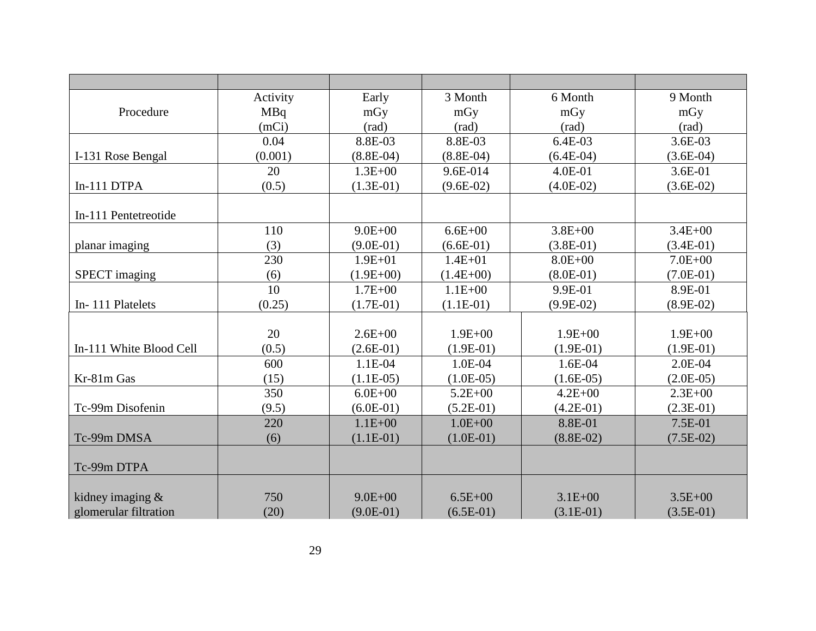|                         | Activity   | Early          | 3 Month        | 6 Month        | 9 Month     |
|-------------------------|------------|----------------|----------------|----------------|-------------|
| Procedure               | <b>MBq</b> | mGy            | mGy            | mGy            | mGy         |
|                         | (mCi)      | $\text{(rad)}$ | $\text{(rad)}$ | $\text{(rad)}$ | (rad)       |
|                         | 0.04       | 8.8E-03        | 8.8E-03        | 6.4E-03        | 3.6E-03     |
| I-131 Rose Bengal       | (0.001)    | $(8.8E-04)$    | $(8.8E-04)$    | $(6.4E-04)$    | $(3.6E-04)$ |
|                         | 20         | $1.3E + 00$    | 9.6E-014       | 4.0E-01        | 3.6E-01     |
| In-111 DTPA             | (0.5)      | $(1.3E-01)$    | $(9.6E-02)$    | $(4.0E-02)$    | $(3.6E-02)$ |
|                         |            |                |                |                |             |
| In-111 Pentetreotide    |            |                |                |                |             |
|                         | 110        | $9.0E + 00$    | $6.6E + 00$    | $3.8E + 00$    | $3.4E + 00$ |
| planar imaging          | (3)        | $(9.0E-01)$    | $(6.6E-01)$    | $(3.8E-01)$    | $(3.4E-01)$ |
|                         | 230        | $1.9E + 01$    | $1.4E + 01$    | $8.0E + 00$    | $7.0E + 00$ |
| <b>SPECT</b> imaging    | (6)        | $(1.9E + 00)$  | $(1.4E+00)$    | $(8.0E-01)$    | $(7.0E-01)$ |
|                         | 10         | $1.7E + 00$    | $1.1E + 00$    | 9.9E-01        | 8.9E-01     |
| In-111 Platelets        | (0.25)     | $(1.7E-01)$    | $(1.1E-01)$    | $(9.9E-02)$    | $(8.9E-02)$ |
|                         |            |                |                |                |             |
|                         | 20         | $2.6E + 00$    | $1.9E + 00$    | $1.9E + 00$    | $1.9E + 00$ |
| In-111 White Blood Cell | (0.5)      | $(2.6E-01)$    | $(1.9E-01)$    | $(1.9E-01)$    | $(1.9E-01)$ |
|                         | 600        | 1.1E-04        | 1.0E-04        | 1.6E-04        | 2.0E-04     |
| Kr-81m Gas              | (15)       | $(1.1E-05)$    | $(1.0E-05)$    | $(1.6E-05)$    | $(2.0E-05)$ |
|                         | 350        | $6.0E + 00$    | $5.2E + 00$    | $4.2E + 00$    | $2.3E + 00$ |
| Tc-99m Disofenin        | (9.5)      | $(6.0E-01)$    | $(5.2E-01)$    | $(4.2E-01)$    | $(2.3E-01)$ |
|                         | 220        | $1.1E + 00$    | $1.0E + 00$    | 8.8E-01        | 7.5E-01     |
| Tc-99m DMSA             | (6)        | $(1.1E-01)$    | $(1.0E-01)$    | $(8.8E-02)$    | $(7.5E-02)$ |
|                         |            |                |                |                |             |
| Tc-99m DTPA             |            |                |                |                |             |
|                         |            |                |                |                |             |
| kidney imaging $&$      | 750        | $9.0E + 00$    | $6.5E + 00$    | $3.1E + 00$    | $3.5E + 00$ |
| glomerular filtration   | (20)       | $(9.0E-01)$    | $(6.5E-01)$    | $(3.1E-01)$    | $(3.5E-01)$ |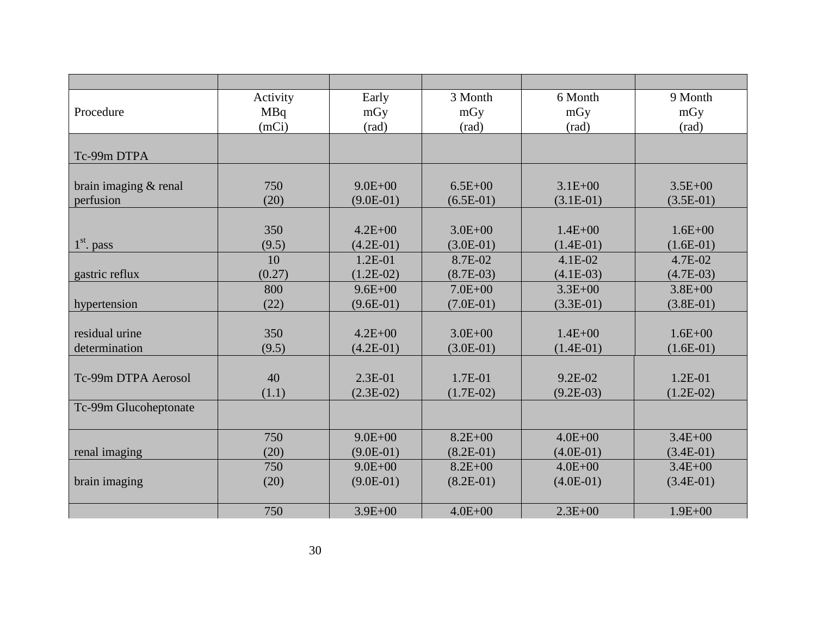|                       | Activity   | Early       | 3 Month        | 6 Month        | 9 Month        |
|-----------------------|------------|-------------|----------------|----------------|----------------|
| Procedure             | <b>MBq</b> | mGy         | mGy            | mGy            | mGy            |
|                       | (mCi)      | (rad)       | $\text{(rad)}$ | $\text{(rad)}$ | $\text{(rad)}$ |
|                       |            |             |                |                |                |
| Tc-99m DTPA           |            |             |                |                |                |
|                       |            |             |                |                |                |
| brain imaging & renal | 750        | $9.0E + 00$ | $6.5E + 00$    | $3.1E + 00$    | $3.5E + 00$    |
| perfusion             | (20)       | $(9.0E-01)$ | $(6.5E-01)$    | $(3.1E-01)$    | $(3.5E-01)$    |
|                       |            |             |                |                |                |
|                       | 350        | $4.2E + 00$ | $3.0E + 00$    | $1.4E + 00$    | $1.6E + 00$    |
| $1st$ . pass          | (9.5)      | $(4.2E-01)$ | $(3.0E-01)$    | $(1.4E-01)$    | $(1.6E-01)$    |
|                       | 10         | $1.2E-01$   | 8.7E-02        | $4.1E-02$      | 4.7E-02        |
| gastric reflux        | (0.27)     | $(1.2E-02)$ | $(8.7E-03)$    | $(4.1E-03)$    | $(4.7E-03)$    |
|                       | 800        | $9.6E + 00$ | $7.0E + 00$    | $3.3E + 00$    | $3.8E + 00$    |
| hypertension          | (22)       | $(9.6E-01)$ | $(7.0E-01)$    | $(3.3E-01)$    | $(3.8E-01)$    |
|                       |            |             |                |                |                |
| residual urine        | 350        | $4.2E + 00$ | $3.0E + 00$    | $1.4E + 00$    | $1.6E + 00$    |
| determination         | (9.5)      | $(4.2E-01)$ | $(3.0E-01)$    | $(1.4E-01)$    | $(1.6E-01)$    |
|                       |            |             |                |                |                |
| Tc-99m DTPA Aerosol   | 40         | $2.3E-01$   | 1.7E-01        | $9.2E-02$      | $1.2E-01$      |
|                       | (1.1)      | $(2.3E-02)$ | $(1.7E-02)$    | $(9.2E-03)$    | $(1.2E-02)$    |
| Tc-99m Glucoheptonate |            |             |                |                |                |
|                       |            |             |                |                |                |
|                       | 750        | $9.0E + 00$ | $8.2E + 00$    | $4.0E + 00$    | $3.4E + 00$    |
| renal imaging         | (20)       | $(9.0E-01)$ | $(8.2E-01)$    | $(4.0E-01)$    | $(3.4E-01)$    |
|                       | 750        | $9.0E + 00$ | $8.2E + 00$    | $4.0E + 00$    | $3.4E + 00$    |
| brain imaging         | (20)       | $(9.0E-01)$ | $(8.2E-01)$    | $(4.0E-01)$    | $(3.4E-01)$    |
|                       |            |             |                |                |                |
|                       | 750        | $3.9E + 00$ | $4.0E + 00$    | $2.3E + 00$    | $1.9E + 00$    |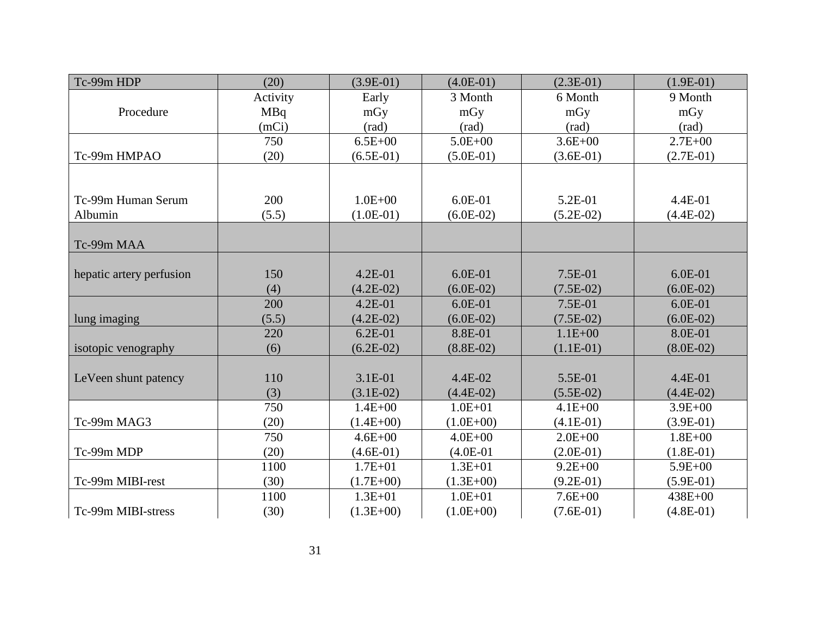| Tc-99m HDP               | (20)     | $(3.9E-01)$    | $(4.0E-01)$ | $(2.3E-01)$    | $(1.9E-01)$    |
|--------------------------|----------|----------------|-------------|----------------|----------------|
|                          | Activity | Early          | 3 Month     | 6 Month        | 9 Month        |
| Procedure                | MBq      | mGy            | mGy         | mGy            | mGy            |
|                          | (mCi)    | $\text{(rad)}$ | (rad)       | $\text{(rad)}$ | $\text{(rad)}$ |
|                          | 750      | $6.5E + 00$    | $5.0E + 00$ | $3.6E + 00$    | $2.7E + 00$    |
| Tc-99m HMPAO             | (20)     | $(6.5E-01)$    | $(5.0E-01)$ | $(3.6E-01)$    | $(2.7E-01)$    |
|                          |          |                |             |                |                |
|                          |          |                |             |                |                |
| Tc-99m Human Serum       | 200      | $1.0E + 00$    | 6.0E-01     | 5.2E-01        | 4.4E-01        |
| Albumin                  | (5.5)    | $(1.0E-01)$    | $(6.0E-02)$ | $(5.2E-02)$    | $(4.4E-02)$    |
|                          |          |                |             |                |                |
| Tc-99m MAA               |          |                |             |                |                |
|                          |          |                |             |                |                |
| hepatic artery perfusion | 150      | $4.2E-01$      | $6.0E-01$   | 7.5E-01        | $6.0E-01$      |
|                          | (4)      | $(4.2E-02)$    | $(6.0E-02)$ | $(7.5E-02)$    | $(6.0E-02)$    |
|                          | 200      | $4.2E-01$      | $6.0E-01$   | 7.5E-01        | $6.0E-01$      |
| lung imaging             | (5.5)    | $(4.2E-02)$    | $(6.0E-02)$ | $(7.5E-02)$    | $(6.0E-02)$    |
|                          | 220      | $6.2E-01$      | 8.8E-01     | $1.1E + 00$    | 8.0E-01        |
| isotopic venography      | (6)      | $(6.2E-02)$    | $(8.8E-02)$ | $(1.1E-01)$    | $(8.0E-02)$    |
|                          |          |                |             |                |                |
| LeVeen shunt patency     | 110      | 3.1E-01        | 4.4E-02     | 5.5E-01        | 4.4E-01        |
|                          | (3)      | $(3.1E-02)$    | $(4.4E-02)$ | $(5.5E-02)$    | $(4.4E-02)$    |
|                          | 750      | $1.4E + 00$    | $1.0E + 01$ | $4.1E + 00$    | $3.9E + 00$    |
| Tc-99m MAG3              | (20)     | $(1.4E+00)$    | $(1.0E+00)$ | $(4.1E-01)$    | $(3.9E-01)$    |
|                          | 750      | $4.6E + 00$    | $4.0E + 00$ | $2.0E + 00$    | $1.8E + 00$    |
| Tc-99m MDP               | (20)     | $(4.6E-01)$    | $(4.0E-01)$ | $(2.0E-01)$    | $(1.8E-01)$    |
|                          | 1100     | $1.7E + 01$    | $1.3E + 01$ | $9.2E + 00$    | $5.9E + 00$    |
| Tc-99m MIBI-rest         | (30)     | $(1.7E+00)$    | $(1.3E+00)$ | $(9.2E-01)$    | $(5.9E-01)$    |
|                          | 1100     | $1.3E + 01$    | $1.0E + 01$ | $7.6E + 00$    | 438E+00        |
| Tc-99m MIBI-stress       | (30)     | $(1.3E+00)$    | $(1.0E+00)$ | $(7.6E-01)$    | $(4.8E-01)$    |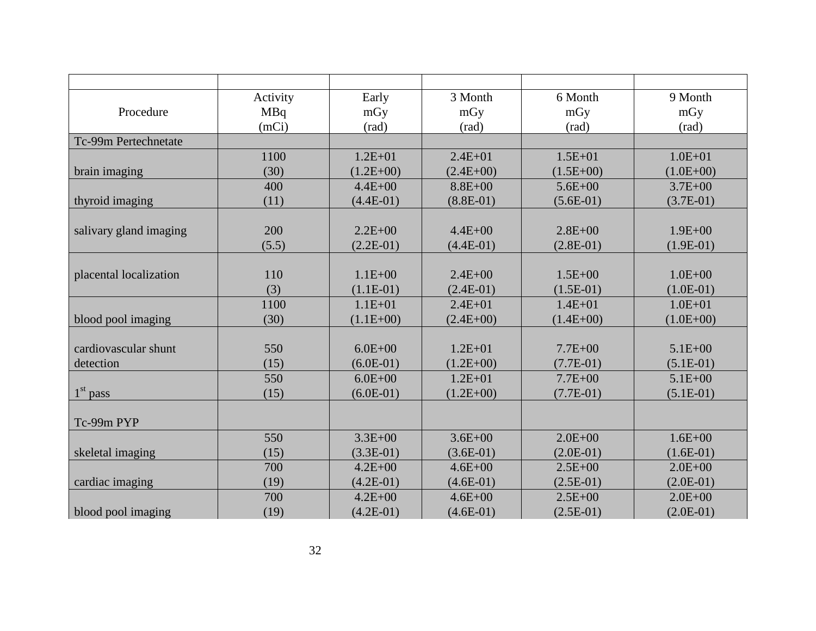|                        | Activity   | Early         | 3 Month     | 6 Month        | 9 Month        |
|------------------------|------------|---------------|-------------|----------------|----------------|
| Procedure              | <b>MBq</b> | mGy           | mGy         | mGy            | mGy            |
|                        | (mCi)      | (rad)         | (rad)       | $\text{(rad)}$ | $\text{(rad)}$ |
| Tc-99m Pertechnetate   |            |               |             |                |                |
|                        | 1100       | $1.2E + 01$   | $2.4E + 01$ | $1.5E + 01$    | $1.0E + 01$    |
| brain imaging          | (30)       | $(1.2E + 00)$ | $(2.4E+00)$ | $(1.5E+00)$    | $(1.0E+00)$    |
|                        | 400        | $4.4E + 00$   | $8.8E + 00$ | $5.6E + 00$    | $3.7E + 00$    |
| thyroid imaging        | (11)       | $(4.4E-01)$   | $(8.8E-01)$ | $(5.6E-01)$    | $(3.7E-01)$    |
|                        |            |               |             |                |                |
| salivary gland imaging | 200        | $2.2E + 00$   | $4.4E + 00$ | $2.8E + 00$    | $1.9E + 00$    |
|                        | (5.5)      | $(2.2E-01)$   | $(4.4E-01)$ | $(2.8E-01)$    | $(1.9E-01)$    |
|                        |            |               |             |                |                |
| placental localization | 110        | $1.1E + 00$   | $2.4E + 00$ | $1.5E + 00$    | $1.0E + 00$    |
|                        | (3)        | $(1.1E-01)$   | $(2.4E-01)$ | $(1.5E-01)$    | $(1.0E-01)$    |
|                        | 1100       | $1.1E + 01$   | $2.4E + 01$ | $1.4E + 01$    | $1.0E + 01$    |
| blood pool imaging     | (30)       | $(1.1E+00)$   | $(2.4E+00)$ | $(1.4E+00)$    | $(1.0E+00)$    |
|                        |            |               |             |                |                |
| cardiovascular shunt   | 550        | $6.0E + 00$   | $1.2E + 01$ | $7.7E + 00$    | $5.1E + 00$    |
| detection              | (15)       | $(6.0E-01)$   | $(1.2E+00)$ | $(7.7E-01)$    | $(5.1E-01)$    |
|                        | 550        | $6.0E + 00$   | $1.2E + 01$ | $7.7E + 00$    | $5.1E + 00$    |
| $1st$ pass             | (15)       | $(6.0E-01)$   | $(1.2E+00)$ | $(7.7E-01)$    | $(5.1E-01)$    |
|                        |            |               |             |                |                |
| Tc-99m PYP             |            |               |             |                |                |
|                        | 550        | $3.3E + 00$   | $3.6E + 00$ | $2.0E + 00$    | $1.6E + 00$    |
| skeletal imaging       | (15)       | $(3.3E-01)$   | $(3.6E-01)$ | $(2.0E-01)$    | $(1.6E-01)$    |
|                        | 700        | $4.2E + 00$   | $4.6E + 00$ | $2.5E + 00$    | $2.0E + 00$    |
| cardiac imaging        | (19)       | $(4.2E-01)$   | $(4.6E-01)$ | $(2.5E-01)$    | $(2.0E-01)$    |
|                        | 700        | $4.2E + 00$   | $4.6E + 00$ | $2.5E + 00$    | $2.0E + 00$    |
| blood pool imaging     | (19)       | $(4.2E-01)$   | $(4.6E-01)$ | $(2.5E-01)$    | $(2.0E-01)$    |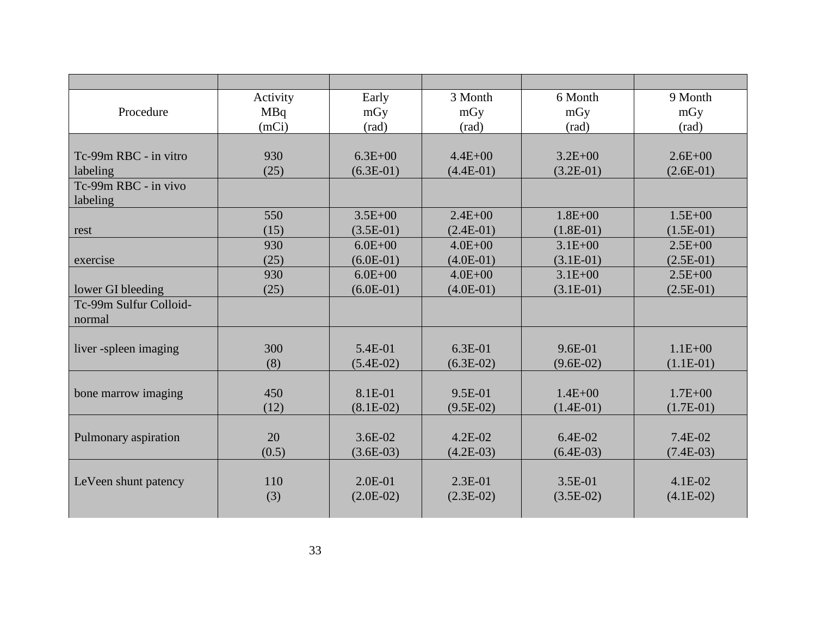|                        | Activity   | Early          | 3 Month        | 6 Month        | 9 Month        |
|------------------------|------------|----------------|----------------|----------------|----------------|
| Procedure              | <b>MBq</b> | mGy            | mGy            | mGy            | mGy            |
|                        | (mCi)      | $\text{(rad)}$ | $\text{(rad)}$ | $\text{(rad)}$ | $\text{(rad)}$ |
|                        |            |                |                |                |                |
| Tc-99m RBC - in vitro  | 930        | $6.3E + 00$    | $4.4E + 00$    | $3.2E + 00$    | $2.6E + 00$    |
| labeling               | (25)       | $(6.3E-01)$    | $(4.4E-01)$    | $(3.2E-01)$    | $(2.6E-01)$    |
| Tc-99m RBC - in vivo   |            |                |                |                |                |
| labeling               |            |                |                |                |                |
|                        | 550        | $3.5E + 00$    | $2.4E + 00$    | $1.8E + 00$    | $1.5E + 00$    |
| rest                   | (15)       | $(3.5E-01)$    | $(2.4E-01)$    | $(1.8E-01)$    | $(1.5E-01)$    |
|                        | 930        | $6.0E + 00$    | $4.0E + 00$    | $3.1E + 00$    | $2.5E + 00$    |
| exercise               | (25)       | $(6.0E-01)$    | $(4.0E-01)$    | $(3.1E-01)$    | $(2.5E-01)$    |
|                        | 930        | $6.0E + 00$    | $4.0E + 00$    | $3.1E + 00$    | $2.5E + 00$    |
| lower GI bleeding      | (25)       | $(6.0E-01)$    | $(4.0E-01)$    | $(3.1E-01)$    | $(2.5E-01)$    |
| Tc-99m Sulfur Colloid- |            |                |                |                |                |
| normal                 |            |                |                |                |                |
|                        |            |                |                |                |                |
| liver -spleen imaging  | 300        | 5.4E-01        | $6.3E-01$      | $9.6E - 01$    | $1.1E + 00$    |
|                        | (8)        | $(5.4E-02)$    | $(6.3E-02)$    | $(9.6E-02)$    | $(1.1E-01)$    |
|                        |            |                |                |                |                |
| bone marrow imaging    | 450        | 8.1E-01        | $9.5E-01$      | $1.4E + 00$    | $1.7E + 00$    |
|                        | (12)       | $(8.1E-02)$    | $(9.5E-02)$    | $(1.4E-01)$    | $(1.7E-01)$    |
|                        |            |                |                |                |                |
| Pulmonary aspiration   | 20         | $3.6E-02$      | $4.2E - 02$    | $6.4E-02$      | 7.4E-02        |
|                        | (0.5)      | $(3.6E-03)$    | $(4.2E-03)$    | $(6.4E-03)$    | $(7.4E-03)$    |
|                        |            |                |                |                |                |
| LeVeen shunt patency   | 110        | $2.0E-01$      | $2.3E-01$      | $3.5E-01$      | $4.1E-02$      |
|                        | (3)        | $(2.0E-02)$    | $(2.3E-02)$    | $(3.5E-02)$    | $(4.1E-02)$    |
|                        |            |                |                |                |                |